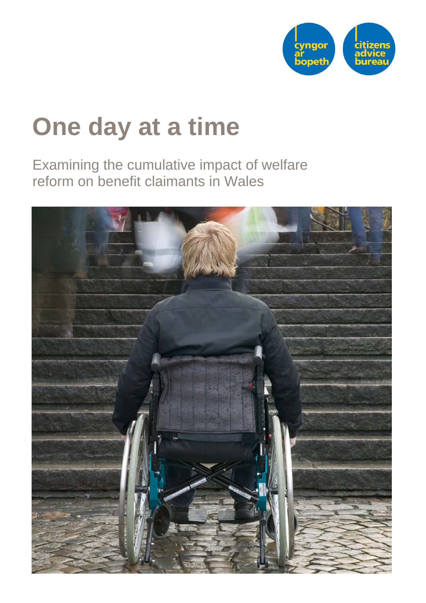

# **One day at a time**

Examining the cumulative impact of welfare reform on benefit claimants in Wales

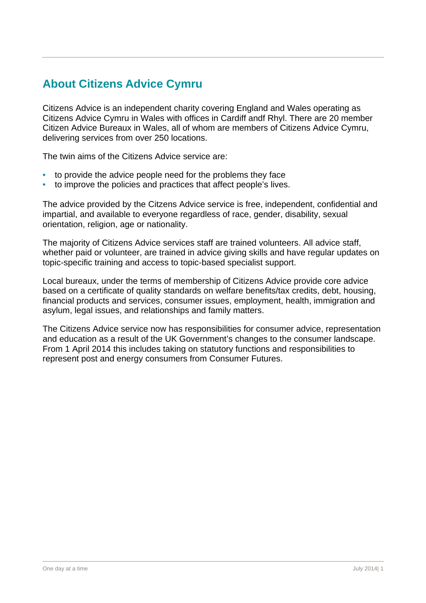# **About Citizens Advice Cymru**

Citizens Advice is an independent charity covering England and Wales operating as Citizens Advice Cymru in Wales with offices in Cardiff andf Rhyl. There are 20 member Citizen Advice Bureaux in Wales, all of whom are members of Citizens Advice Cymru, delivering services from over 250 locations.

The twin aims of the Citizens Advice service are:

- to provide the advice people need for the problems they face
- to improve the policies and practices that affect people's lives.

The advice provided by the Citzens Advice service is free, independent, confidential and impartial, and available to everyone regardless of race, gender, disability, sexual orientation, religion, age or nationality.

The majority of Citizens Advice services staff are trained volunteers. All advice staff, whether paid or volunteer, are trained in advice giving skills and have regular updates on topic-specific training and access to topic-based specialist support.

Local bureaux, under the terms of membership of Citizens Advice provide core advice based on a certificate of quality standards on welfare benefits/tax credits, debt, housing, financial products and services, consumer issues, employment, health, immigration and asylum, legal issues, and relationships and family matters.

The Citizens Advice service now has responsibilities for consumer advice, representation and education as a result of the UK Government's changes to the consumer landscape. From 1 April 2014 this includes taking on statutory functions and responsibilities to represent post and energy consumers from Consumer Futures.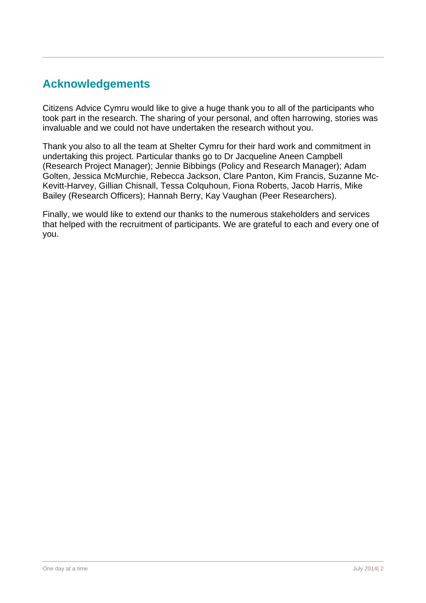# **Acknowledgements**

Citizens Advice Cymru would like to give a huge thank you to all of the participants who took part in the research. The sharing of your personal, and often harrowing, stories was invaluable and we could not have undertaken the research without you.

Thank you also to all the team at Shelter Cymru for their hard work and commitment in undertaking this project. Particular thanks go to Dr Jacqueline Aneen Campbell (Research Project Manager); Jennie Bibbings (Policy and Research Manager); Adam Golten, Jessica McMurchie, Rebecca Jackson, Clare Panton, Kim Francis, Suzanne Mc-Kevitt-Harvey, Gillian Chisnall, Tessa Colquhoun, Fiona Roberts, Jacob Harris, Mike Bailey (Research Officers); Hannah Berry, Kay Vaughan (Peer Researchers).

Finally, we would like to extend our thanks to the numerous stakeholders and services that helped with the recruitment of participants. We are grateful to each and every one of you.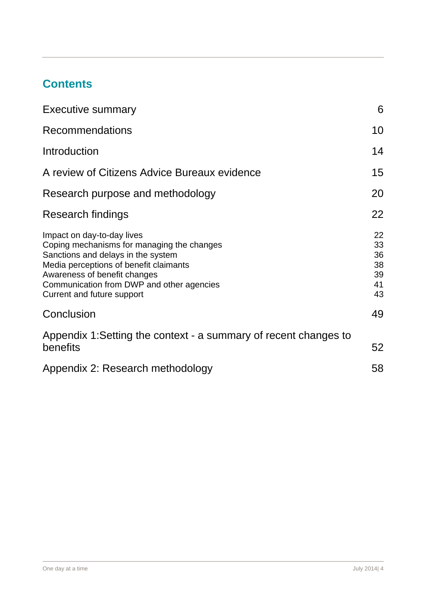# **Contents**

| <b>Executive summary</b>                                                                                                                                                                                                                                            | 6                                      |
|---------------------------------------------------------------------------------------------------------------------------------------------------------------------------------------------------------------------------------------------------------------------|----------------------------------------|
| <b>Recommendations</b>                                                                                                                                                                                                                                              | 10                                     |
| Introduction                                                                                                                                                                                                                                                        | 14                                     |
| A review of Citizens Advice Bureaux evidence                                                                                                                                                                                                                        | 15 <sub>1</sub>                        |
| Research purpose and methodology                                                                                                                                                                                                                                    | 20                                     |
| Research findings                                                                                                                                                                                                                                                   | 22                                     |
| Impact on day-to-day lives<br>Coping mechanisms for managing the changes<br>Sanctions and delays in the system<br>Media perceptions of benefit claimants<br>Awareness of benefit changes<br>Communication from DWP and other agencies<br>Current and future support | 22<br>33<br>36<br>38<br>39<br>41<br>43 |
| Conclusion                                                                                                                                                                                                                                                          | 49                                     |
| Appendix 1: Setting the context - a summary of recent changes to<br>benefits                                                                                                                                                                                        | 52                                     |
| Appendix 2: Research methodology                                                                                                                                                                                                                                    | 58                                     |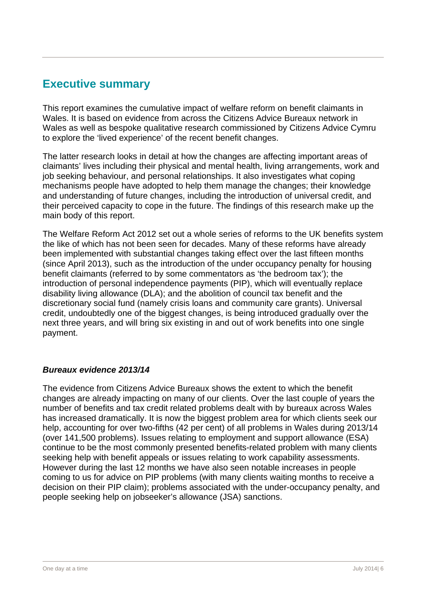## **Executive summary**

This report examines the cumulative impact of welfare reform on benefit claimants in Wales. It is based on evidence from across the Citizens Advice Bureaux network in Wales as well as bespoke qualitative research commissioned by Citizens Advice Cymru to explore the 'lived experience' of the recent benefit changes.

The latter research looks in detail at how the changes are affecting important areas of claimants' lives including their physical and mental health, living arrangements, work and job seeking behaviour, and personal relationships. It also investigates what coping mechanisms people have adopted to help them manage the changes; their knowledge and understanding of future changes, including the introduction of universal credit, and their perceived capacity to cope in the future. The findings of this research make up the main body of this report.

The Welfare Reform Act 2012 set out a whole series of reforms to the UK benefits system the like of which has not been seen for decades. Many of these reforms have already been implemented with substantial changes taking effect over the last fifteen months (since April 2013), such as the introduction of the under occupancy penalty for housing benefit claimants (referred to by some commentators as 'the bedroom tax'); the introduction of personal independence payments (PIP), which will eventually replace disability living allowance (DLA); and the abolition of council tax benefit and the discretionary social fund (namely crisis loans and community care grants). Universal credit, undoubtedly one of the biggest changes, is being introduced gradually over the next three years, and will bring six existing in and out of work benefits into one single payment.

#### *Bureaux evidence 2013/14*

The evidence from Citizens Advice Bureaux shows the extent to which the benefit changes are already impacting on many of our clients. Over the last couple of years the number of benefits and tax credit related problems dealt with by bureaux across Wales has increased dramatically. It is now the biggest problem area for which clients seek our help, accounting for over two-fifths (42 per cent) of all problems in Wales during 2013/14 (over 141,500 problems). Issues relating to employment and support allowance (ESA) continue to be the most commonly presented benefits-related problem with many clients seeking help with benefit appeals or issues relating to work capability assessments. However during the last 12 months we have also seen notable increases in people coming to us for advice on PIP problems (with many clients waiting months to receive a decision on their PIP claim); problems associated with the under-occupancy penalty, and people seeking help on jobseeker's allowance (JSA) sanctions.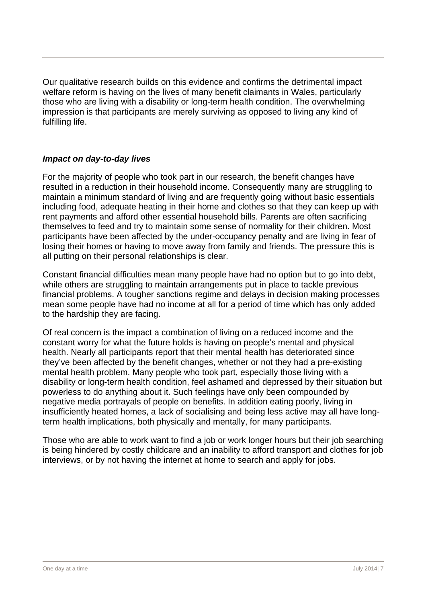Our qualitative research builds on this evidence and confirms the detrimental impact welfare reform is having on the lives of many benefit claimants in Wales, particularly those who are living with a disability or long-term health condition. The overwhelming impression is that participants are merely surviving as opposed to living any kind of fulfilling life.

#### *Impact on day-to-day lives*

For the majority of people who took part in our research, the benefit changes have resulted in a reduction in their household income. Consequently many are struggling to maintain a minimum standard of living and are frequently going without basic essentials including food, adequate heating in their home and clothes so that they can keep up with rent payments and afford other essential household bills. Parents are often sacrificing themselves to feed and try to maintain some sense of normality for their children. Most participants have been affected by the under-occupancy penalty and are living in fear of losing their homes or having to move away from family and friends. The pressure this is all putting on their personal relationships is clear.

Constant financial difficulties mean many people have had no option but to go into debt, while others are struggling to maintain arrangements put in place to tackle previous financial problems. A tougher sanctions regime and delays in decision making processes mean some people have had no income at all for a period of time which has only added to the hardship they are facing.

Of real concern is the impact a combination of living on a reduced income and the constant worry for what the future holds is having on people's mental and physical health. Nearly all participants report that their mental health has deteriorated since they've been affected by the benefit changes, whether or not they had a pre-existing mental health problem. Many people who took part, especially those living with a disability or long-term health condition, feel ashamed and depressed by their situation but powerless to do anything about it. Such feelings have only been compounded by negative media portrayals of people on benefits. In addition eating poorly, living in insufficiently heated homes, a lack of socialising and being less active may all have longterm health implications, both physically and mentally, for many participants.

Those who are able to work want to find a job or work longer hours but their job searching is being hindered by costly childcare and an inability to afford transport and clothes for job interviews, or by not having the internet at home to search and apply for jobs.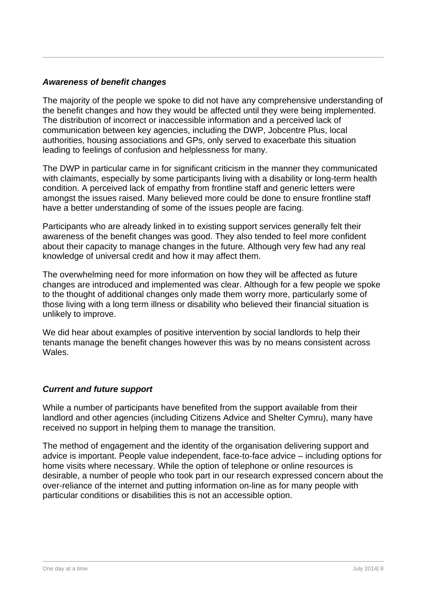#### *Awareness of benefit changes*

The majority of the people we spoke to did not have any comprehensive understanding of the benefit changes and how they would be affected until they were being implemented. The distribution of incorrect or inaccessible information and a perceived lack of communication between key agencies, including the DWP, Jobcentre Plus, local authorities, housing associations and GPs, only served to exacerbate this situation leading to feelings of confusion and helplessness for many.

The DWP in particular came in for significant criticism in the manner they communicated with claimants, especially by some participants living with a disability or long-term health condition. A perceived lack of empathy from frontline staff and generic letters were amongst the issues raised. Many believed more could be done to ensure frontline staff have a better understanding of some of the issues people are facing.

Participants who are already linked in to existing support services generally felt their awareness of the benefit changes was good. They also tended to feel more confident about their capacity to manage changes in the future. Although very few had any real knowledge of universal credit and how it may affect them.

The overwhelming need for more information on how they will be affected as future changes are introduced and implemented was clear. Although for a few people we spoke to the thought of additional changes only made them worry more, particularly some of those living with a long term illness or disability who believed their financial situation is unlikely to improve.

We did hear about examples of positive intervention by social landlords to help their tenants manage the benefit changes however this was by no means consistent across Wales.

#### *Current and future support*

While a number of participants have benefited from the support available from their landlord and other agencies (including Citizens Advice and Shelter Cymru), many have received no support in helping them to manage the transition.

The method of engagement and the identity of the organisation delivering support and advice is important. People value independent, face-to-face advice – including options for home visits where necessary. While the option of telephone or online resources is desirable, a number of people who took part in our research expressed concern about the over-reliance of the internet and putting information on-line as for many people with particular conditions or disabilities this is not an accessible option.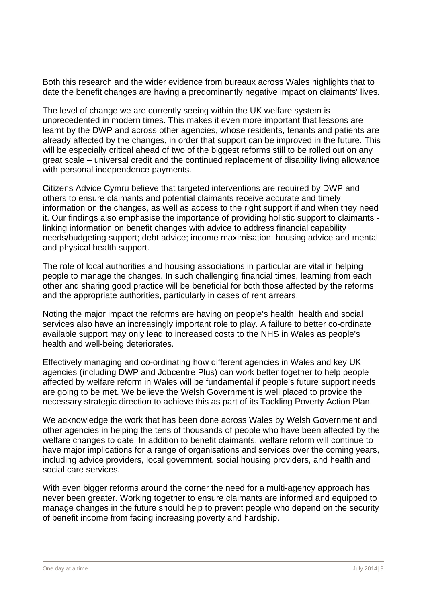Both this research and the wider evidence from bureaux across Wales highlights that to date the benefit changes are having a predominantly negative impact on claimants' lives.

The level of change we are currently seeing within the UK welfare system is unprecedented in modern times. This makes it even more important that lessons are learnt by the DWP and across other agencies, whose residents, tenants and patients are already affected by the changes, in order that support can be improved in the future. This will be especially critical ahead of two of the biggest reforms still to be rolled out on any great scale – universal credit and the continued replacement of disability living allowance with personal independence payments.

Citizens Advice Cymru believe that targeted interventions are required by DWP and others to ensure claimants and potential claimants receive accurate and timely information on the changes, as well as access to the right support if and when they need it. Our findings also emphasise the importance of providing holistic support to claimants linking information on benefit changes with advice to address financial capability needs/budgeting support; debt advice; income maximisation; housing advice and mental and physical health support.

The role of local authorities and housing associations in particular are vital in helping people to manage the changes. In such challenging financial times, learning from each other and sharing good practice will be beneficial for both those affected by the reforms and the appropriate authorities, particularly in cases of rent arrears.

Noting the major impact the reforms are having on people's health, health and social services also have an increasingly important role to play. A failure to better co-ordinate available support may only lead to increased costs to the NHS in Wales as people's health and well-being deteriorates.

Effectively managing and co-ordinating how different agencies in Wales and key UK agencies (including DWP and Jobcentre Plus) can work better together to help people affected by welfare reform in Wales will be fundamental if people's future support needs are going to be met. We believe the Welsh Government is well placed to provide the necessary strategic direction to achieve this as part of its Tackling Poverty Action Plan.

We acknowledge the work that has been done across Wales by Welsh Government and other agencies in helping the tens of thousands of people who have been affected by the welfare changes to date. In addition to benefit claimants, welfare reform will continue to have major implications for a range of organisations and services over the coming years, including advice providers, local government, social housing providers, and health and social care services.

With even bigger reforms around the corner the need for a multi-agency approach has never been greater. Working together to ensure claimants are informed and equipped to manage changes in the future should help to prevent people who depend on the security of benefit income from facing increasing poverty and hardship.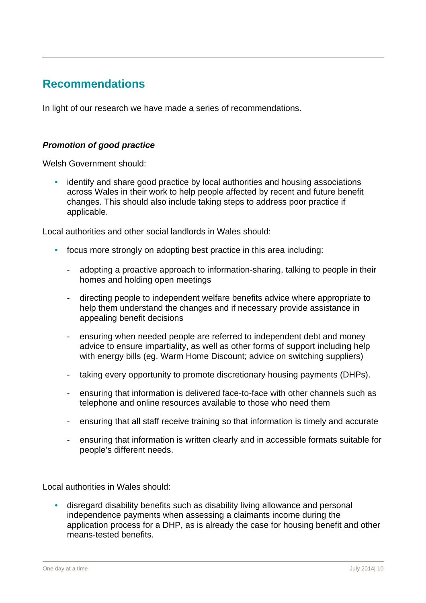## **Recommendations**

In light of our research we have made a series of recommendations.

#### *Promotion of good practice*

Welsh Government should:

• identify and share good practice by local authorities and housing associations across Wales in their work to help people affected by recent and future benefit changes. This should also include taking steps to address poor practice if applicable.

Local authorities and other social landlords in Wales should:

- focus more strongly on adopting best practice in this area including:
	- adopting a proactive approach to information-sharing, talking to people in their homes and holding open meetings
	- directing people to independent welfare benefits advice where appropriate to help them understand the changes and if necessary provide assistance in appealing benefit decisions
	- ensuring when needed people are referred to independent debt and money advice to ensure impartiality, as well as other forms of support including help with energy bills (eg. Warm Home Discount; advice on switching suppliers)
	- taking every opportunity to promote discretionary housing payments (DHPs).
	- ensuring that information is delivered face-to-face with other channels such as telephone and online resources available to those who need them
	- ensuring that all staff receive training so that information is timely and accurate
	- ensuring that information is written clearly and in accessible formats suitable for people's different needs.

Local authorities in Wales should:

• disregard disability benefits such as disability living allowance and personal independence payments when assessing a claimants income during the application process for a DHP, as is already the case for housing benefit and other means-tested benefits.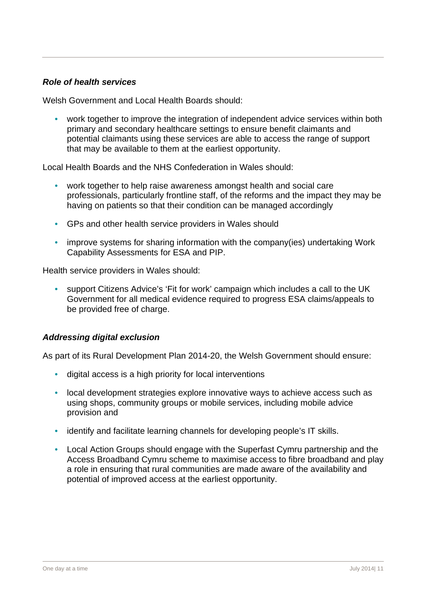#### *Role of health services*

Welsh Government and Local Health Boards should:

work together to improve the integration of independent advice services within both primary and secondary healthcare settings to ensure benefit claimants and potential claimants using these services are able to access the range of support that may be available to them at the earliest opportunity.

Local Health Boards and the NHS Confederation in Wales should:

- work together to help raise awareness amongst health and social care professionals, particularly frontline staff, of the reforms and the impact they may be having on patients so that their condition can be managed accordingly
- GPs and other health service providers in Wales should
- improve systems for sharing information with the company(ies) undertaking Work Capability Assessments for ESA and PIP.

Health service providers in Wales should:

• support Citizens Advice's 'Fit for work' campaign which includes a call to the UK Government for all medical evidence required to progress ESA claims/appeals to be provided free of charge.

#### *Addressing digital exclusion*

As part of its Rural Development Plan 2014-20, the Welsh Government should ensure:

- digital access is a high priority for local interventions
- local development strategies explore innovative ways to achieve access such as using shops, community groups or mobile services, including mobile advice provision and
- identify and facilitate learning channels for developing people's IT skills.
- Local Action Groups should engage with the Superfast Cymru partnership and the Access Broadband Cymru scheme to maximise access to fibre broadband and play a role in ensuring that rural communities are made aware of the availability and potential of improved access at the earliest opportunity.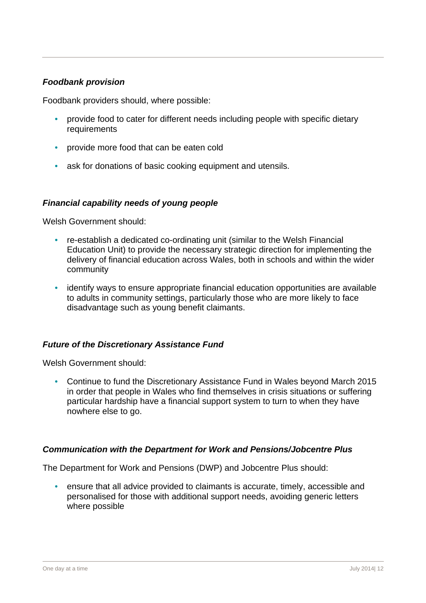#### *Foodbank provision*

Foodbank providers should, where possible:

- provide food to cater for different needs including people with specific dietary requirements
- provide more food that can be eaten cold
- ask for donations of basic cooking equipment and utensils.

#### *Financial capability needs of young people*

Welsh Government should:

- re-establish a dedicated co-ordinating unit (similar to the Welsh Financial Education Unit) to provide the necessary strategic direction for implementing the delivery of financial education across Wales, both in schools and within the wider community
- identify ways to ensure appropriate financial education opportunities are available to adults in community settings, particularly those who are more likely to face disadvantage such as young benefit claimants.

#### *Future of the Discretionary Assistance Fund*

Welsh Government should:

• Continue to fund the Discretionary Assistance Fund in Wales beyond March 2015 in order that people in Wales who find themselves in crisis situations or suffering particular hardship have a financial support system to turn to when they have nowhere else to go.

#### *Communication with the Department for Work and Pensions/Jobcentre Plus*

The Department for Work and Pensions (DWP) and Jobcentre Plus should:

• ensure that all advice provided to claimants is accurate, timely, accessible and personalised for those with additional support needs, avoiding generic letters where possible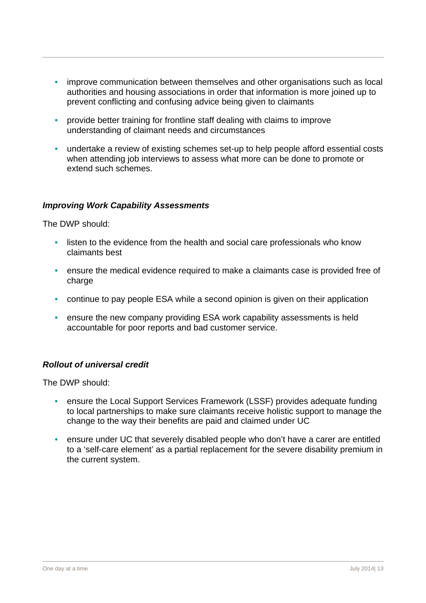- improve communication between themselves and other organisations such as local authorities and housing associations in order that information is more joined up to prevent conflicting and confusing advice being given to claimants
- provide better training for frontline staff dealing with claims to improve understanding of claimant needs and circumstances
- undertake a review of existing schemes set-up to help people afford essential costs when attending job interviews to assess what more can be done to promote or extend such schemes.

#### *Improving Work Capability Assessments*

The DWP should:

- listen to the evidence from the health and social care professionals who know claimants best
- ensure the medical evidence required to make a claimants case is provided free of charge
- continue to pay people ESA while a second opinion is given on their application
- ensure the new company providing ESA work capability assessments is held accountable for poor reports and bad customer service.

#### *Rollout of universal credit*

The DWP should:

- ensure the Local Support Services Framework (LSSF) provides adequate funding to local partnerships to make sure claimants receive holistic support to manage the change to the way their benefits are paid and claimed under UC
- ensure under UC that severely disabled people who don't have a carer are entitled to a 'self-care element' as a partial replacement for the severe disability premium in the current system.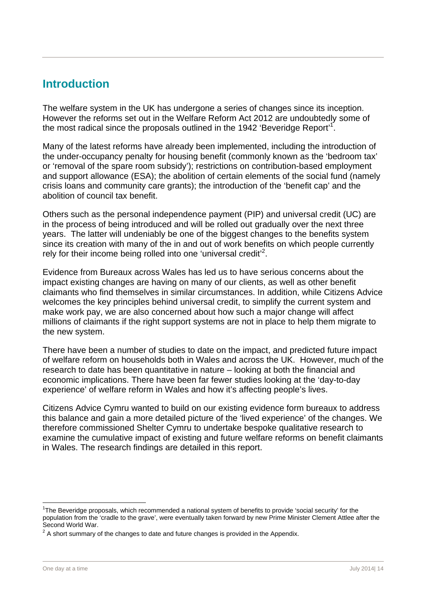## **Introduction**

The welfare system in the UK has undergone a series of changes since its inception. However the reforms set out in the Welfare Reform Act 2012 are undoubtedly some of the most radical since the proposals outlined in the 1942 'Beveridge Report'<sup>1</sup>.

Many of the latest reforms have already been implemented, including the introduction of the under-occupancy penalty for housing benefit (commonly known as the 'bedroom tax' or 'removal of the spare room subsidy'); restrictions on contribution-based employment and support allowance (ESA); the abolition of certain elements of the social fund (namely crisis loans and community care grants); the introduction of the 'benefit cap' and the abolition of council tax benefit.

Others such as the personal independence payment (PIP) and universal credit (UC) are in the process of being introduced and will be rolled out gradually over the next three years. The latter will undeniably be one of the biggest changes to the benefits system since its creation with many of the in and out of work benefits on which people currently rely for their income being rolled into one 'universal credit'<sup>2</sup>.

Evidence from Bureaux across Wales has led us to have serious concerns about the impact existing changes are having on many of our clients, as well as other benefit claimants who find themselves in similar circumstances. In addition, while Citizens Advice welcomes the key principles behind universal credit, to simplify the current system and make work pay, we are also concerned about how such a major change will affect millions of claimants if the right support systems are not in place to help them migrate to the new system.

There have been a number of studies to date on the impact, and predicted future impact of welfare reform on households both in Wales and across the UK. However, much of the research to date has been quantitative in nature – looking at both the financial and economic implications. There have been far fewer studies looking at the 'day-to-day experience' of welfare reform in Wales and how it's affecting people's lives.

Citizens Advice Cymru wanted to build on our existing evidence form bureaux to address this balance and gain a more detailed picture of the 'lived experience' of the changes. We therefore commissioned Shelter Cymru to undertake bespoke qualitative research to examine the cumulative impact of existing and future welfare reforms on benefit claimants in Wales. The research findings are detailed in this report.

<sup>&</sup>lt;sup>1</sup>The Beveridge proposals, which recommended a national system of benefits to provide 'social security' for the population from the 'cradle to the grave', were eventually taken forward by new Prime Minister Clement Attlee after the Second World War.

 $2^2$  A short summary of the changes to date and future changes is provided in the Appendix.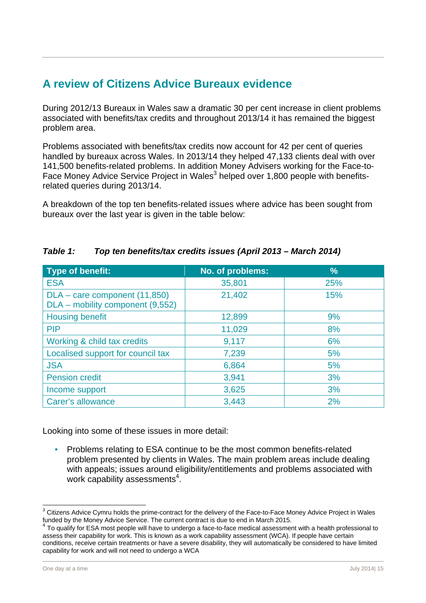# **A review of Citizens Advice Bureaux evidence**

During 2012/13 Bureaux in Wales saw a dramatic 30 per cent increase in client problems associated with benefits/tax credits and throughout 2013/14 it has remained the biggest problem area.

Problems associated with benefits/tax credits now account for 42 per cent of queries handled by bureaux across Wales. In 2013/14 they helped 47,133 clients deal with over 141,500 benefits-related problems. In addition Money Advisers working for the Face-to-Face Money Advice Service Project in Wales<sup>3</sup> helped over 1,800 people with benefitsrelated queries during 2013/14.

A breakdown of the top ten benefits-related issues where advice has been sought from bureaux over the last year is given in the table below:

| <b>Type of benefit:</b>                                           | No. of problems: | $\frac{9}{6}$ |
|-------------------------------------------------------------------|------------------|---------------|
| <b>ESA</b>                                                        | 35,801           | 25%           |
| DLA – care component (11,850)<br>DLA - mobility component (9,552) | 21,402           | 15%           |
| <b>Housing benefit</b>                                            | 12,899           | 9%            |
| <b>PIP</b>                                                        | 11,029           | 8%            |
| Working & child tax credits                                       | 9,117            | 6%            |
| Localised support for council tax                                 | 7,239            | 5%            |
| <b>JSA</b>                                                        | 6,864            | 5%            |
| <b>Pension credit</b>                                             | 3,941            | 3%            |
| Income support                                                    | 3,625            | 3%            |
| Carer's allowance                                                 | 3,443            | 2%            |

#### *Table 1: Top ten benefits/tax credits issues (April 2013 – March 2014)*

Looking into some of these issues in more detail:

• Problems relating to ESA continue to be the most common benefits-related problem presented by clients in Wales. The main problem areas include dealing with appeals; issues around eligibility/entitlements and problems associated with work capability assessments<sup>4</sup>.

<sup>-&</sup>lt;br>3 Citizens Advice Cymru holds the prime-contract for the delivery of the Face-to-Face Money Advice Project in Wales funded by the Money Advice Service. The current contract is due to end in March 2015.

<sup>4</sup> To qualify for ESA most people will have to undergo a face-to-face medical assessment with a health professional to assess their capability for work. This is known as a work capability assessment (WCA). If people have certain conditions, receive certain treatments or have a severe disability, they will automatically be considered to have limited capability for work and will not need to undergo a WCA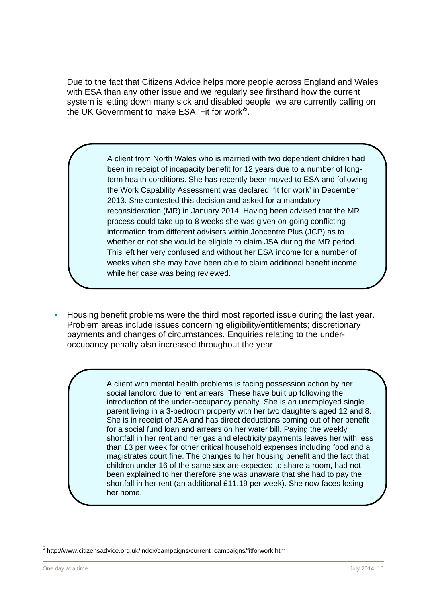Due to the fact that Citizens Advice helps more people across England and Wales with ESA than any other issue and we regularly see firsthand how the current system is letting down many sick and disabled people, we are currently calling on the UK Government to make ESA 'Fit for work'<sup>5</sup>.

> A client from North Wales who is married with two dependent children had been in receipt of incapacity benefit for 12 years due to a number of longterm health conditions. She has recently been moved to ESA and following the Work Capability Assessment was declared 'fit for work' in December 2013. She contested this decision and asked for a mandatory reconsideration (MR) in January 2014. Having been advised that the MR process could take up to 8 weeks she was given on-going conflicting information from different advisers within Jobcentre Plus (JCP) as to whether or not she would be eligible to claim JSA during the MR period. This left her very confused and without her ESA income for a number of weeks when she may have been able to claim additional benefit income while her case was being reviewed.

• Housing benefit problems were the third most reported issue during the last year. Problem areas include issues concerning eligibility/entitlements; discretionary payments and changes of circumstances. Enquiries relating to the underoccupancy penalty also increased throughout the year.

> A client with mental health problems is facing possession action by her social landlord due to rent arrears. These have built up following the introduction of the under-occupancy penalty. She is an unemployed single parent living in a 3-bedroom property with her two daughters aged 12 and 8. She is in receipt of JSA and has direct deductions coming out of her benefit for a social fund loan and arrears on her water bill. Paying the weekly shortfall in her rent and her gas and electricity payments leaves her with less than £3 per week for other critical household expenses including food and a magistrates court fine. The changes to her housing benefit and the fact that children under 16 of the same sex are expected to share a room, had not been explained to her therefore she was unaware that she had to pay the shortfall in her rent (an additional £11.19 per week). She now faces losing her home.

<sup>&</sup>lt;sup>5</sup> http://www.citizensadvice.org.uk/index/campaigns/current\_campaigns/fitforwork.htm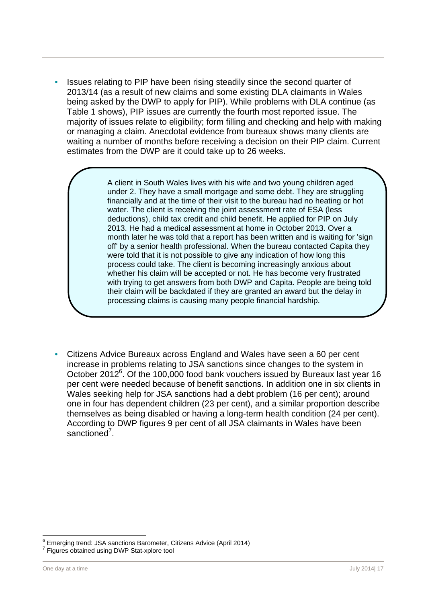• Issues relating to PIP have been rising steadily since the second quarter of 2013/14 (as a result of new claims and some existing DLA claimants in Wales being asked by the DWP to apply for PIP). While problems with DLA continue (as Table 1 shows), PIP issues are currently the fourth most reported issue. The majority of issues relate to eligibility; form filling and checking and help with making or managing a claim. Anecdotal evidence from bureaux shows many clients are waiting a number of months before receiving a decision on their PIP claim. Current estimates from the DWP are it could take up to 26 weeks.

> A client in South Wales lives with his wife and two young children aged under 2. They have a small mortgage and some debt. They are struggling financially and at the time of their visit to the bureau had no heating or hot water. The client is receiving the joint assessment rate of ESA (less deductions), child tax credit and child benefit. He applied for PIP on July 2013. He had a medical assessment at home in October 2013. Over a month later he was told that a report has been written and is waiting for 'sign off' by a senior health professional. When the bureau contacted Capita they were told that it is not possible to give any indication of how long this process could take. The client is becoming increasingly anxious about whether his claim will be accepted or not. He has become very frustrated with trying to get answers from both DWP and Capita. People are being told their claim will be backdated if they are granted an award but the delay in processing claims is causing many people financial hardship.

• Citizens Advice Bureaux across England and Wales have seen a 60 per cent increase in problems relating to JSA sanctions since changes to the system in October 2012<sup>6</sup>. Of the 100,000 food bank vouchers issued by Bureaux last year 16 per cent were needed because of benefit sanctions. In addition one in six clients in Wales seeking help for JSA sanctions had a debt problem (16 per cent); around one in four has dependent children (23 per cent), and a similar proportion describe themselves as being disabled or having a long-term health condition (24 per cent). According to DWP figures 9 per cent of all JSA claimants in Wales have been sanctioned<sup>7</sup>.

 $\overline{a}$ 

<sup>&</sup>lt;sup>6</sup> Emerging trend: JSA sanctions Barometer, Citizens Advice (April 2014) <sup>7</sup> Figures obtained using DWP Stat-xplore tool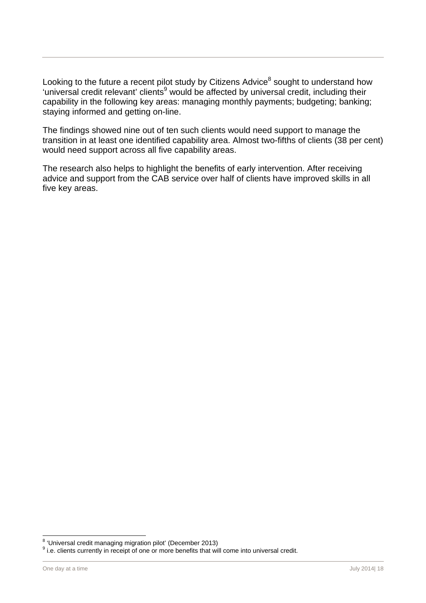Looking to the future a recent pilot study by Citizens Advice $^8$  sought to understand how 'universal credit relevant' clients<sup>9</sup> would be affected by universal credit, including their capability in the following key areas: managing monthly payments; budgeting; banking; staying informed and getting on-line.

The findings showed nine out of ten such clients would need support to manage the transition in at least one identified capability area. Almost two-fifths of clients (38 per cent) would need support across all five capability areas.

The research also helps to highlight the benefits of early intervention. After receiving advice and support from the CAB service over half of clients have improved skills in all five key areas.

es<br><sup>8</sup> 'Universal credit managing migration pilot' (December 2013)

<sup>&</sup>lt;sup>9</sup> i.e. clients currently in receipt of one or more benefits that will come into universal credit.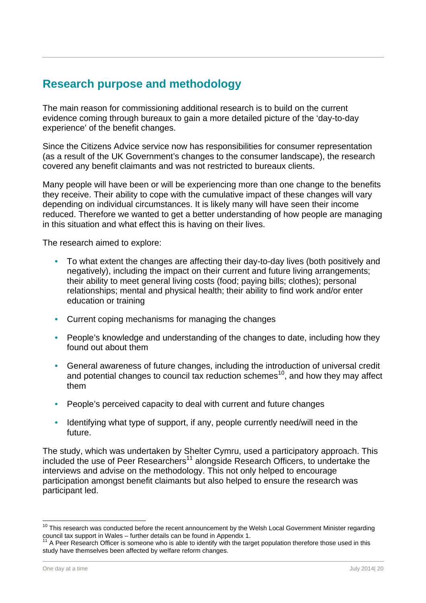# **Research purpose and methodology**

The main reason for commissioning additional research is to build on the current evidence coming through bureaux to gain a more detailed picture of the 'day-to-day experience' of the benefit changes.

Since the Citizens Advice service now has responsibilities for consumer representation (as a result of the UK Government's changes to the consumer landscape), the research covered any benefit claimants and was not restricted to bureaux clients.

Many people will have been or will be experiencing more than one change to the benefits they receive. Their ability to cope with the cumulative impact of these changes will vary depending on individual circumstances. It is likely many will have seen their income reduced. Therefore we wanted to get a better understanding of how people are managing in this situation and what effect this is having on their lives.

The research aimed to explore:

- To what extent the changes are affecting their day-to-day lives (both positively and negatively), including the impact on their current and future living arrangements; their ability to meet general living costs (food; paying bills; clothes); personal relationships; mental and physical health; their ability to find work and/or enter education or training
- Current coping mechanisms for managing the changes
- People's knowledge and understanding of the changes to date, including how they found out about them
- General awareness of future changes, including the introduction of universal credit and potential changes to council tax reduction schemes<sup>10</sup>, and how they may affect them
- People's perceived capacity to deal with current and future changes
- Identifying what type of support, if any, people currently need/will need in the future.

The study, which was undertaken by Shelter Cymru, used a participatory approach. This included the use of Peer Researchers<sup>11</sup> alongside Research Officers, to undertake the interviews and advise on the methodology. This not only helped to encourage participation amongst benefit claimants but also helped to ensure the research was participant led.

 $10$  This research was conducted before the recent announcement by the Welsh Local Government Minister regarding council tax support in Wales – further details can be found in Appendix 1.

A Peer Research Officer is someone who is able to identify with the target population therefore those used in this study have themselves been affected by welfare reform changes.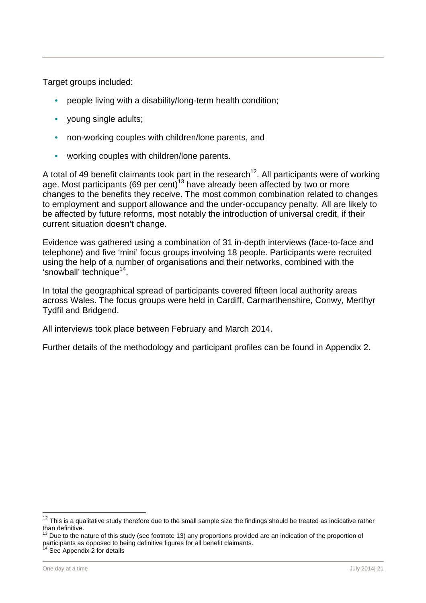Target groups included:

- people living with a disability/long-term health condition;
- young single adults;
- non-working couples with children/lone parents, and
- working couples with children/lone parents.

A total of 49 benefit claimants took part in the research<sup>12</sup>. All participants were of working age. Most participants (69 per cent)<sup>13</sup> have already been affected by two or more changes to the benefits they receive. The most common combination related to changes to employment and support allowance and the under-occupancy penalty. All are likely to be affected by future reforms, most notably the introduction of universal credit, if their current situation doesn't change.

Evidence was gathered using a combination of 31 in-depth interviews (face-to-face and telephone) and five 'mini' focus groups involving 18 people. Participants were recruited using the help of a number of organisations and their networks, combined with the 'snowball' technique<sup>14</sup>.

In total the geographical spread of participants covered fifteen local authority areas across Wales. The focus groups were held in Cardiff, Carmarthenshire, Conwy, Merthyr Tydfil and Bridgend.

All interviews took place between February and March 2014.

Further details of the methodology and participant profiles can be found in Appendix 2.

This is a qualitative study therefore due to the small sample size the findings should be treated as indicative rather than definitive.

Due to the nature of this study (see footnote 13) any proportions provided are an indication of the proportion of participants as opposed to being definitive figures for all benefit claimants.

See Appendix 2 for details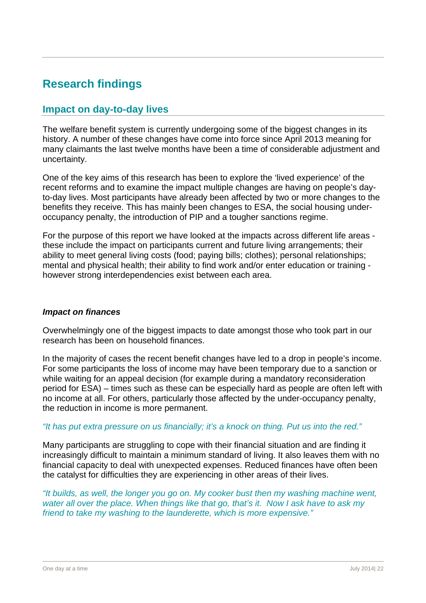# **Research findings**

## **Impact on day-to-day lives**

The welfare benefit system is currently undergoing some of the biggest changes in its history. A number of these changes have come into force since April 2013 meaning for many claimants the last twelve months have been a time of considerable adjustment and uncertainty.

One of the key aims of this research has been to explore the 'lived experience' of the recent reforms and to examine the impact multiple changes are having on people's dayto-day lives. Most participants have already been affected by two or more changes to the benefits they receive. This has mainly been changes to ESA, the social housing underoccupancy penalty, the introduction of PIP and a tougher sanctions regime.

For the purpose of this report we have looked at the impacts across different life areas these include the impact on participants current and future living arrangements; their ability to meet general living costs (food; paying bills; clothes); personal relationships; mental and physical health; their ability to find work and/or enter education or training however strong interdependencies exist between each area.

#### *Impact on finances*

Overwhelmingly one of the biggest impacts to date amongst those who took part in our research has been on household finances.

In the majority of cases the recent benefit changes have led to a drop in people's income. For some participants the loss of income may have been temporary due to a sanction or while waiting for an appeal decision (for example during a mandatory reconsideration period for ESA) – times such as these can be especially hard as people are often left with no income at all. For others, particularly those affected by the under-occupancy penalty, the reduction in income is more permanent.

#### *"It has put extra pressure on us financially; it's a knock on thing. Put us into the red."*

Many participants are struggling to cope with their financial situation and are finding it increasingly difficult to maintain a minimum standard of living. It also leaves them with no financial capacity to deal with unexpected expenses. Reduced finances have often been the catalyst for difficulties they are experiencing in other areas of their lives.

*"It builds, as well, the longer you go on. My cooker bust then my washing machine went, water all over the place. When things like that go, that's it. Now I ask have to ask my friend to take my washing to the launderette, which is more expensive."*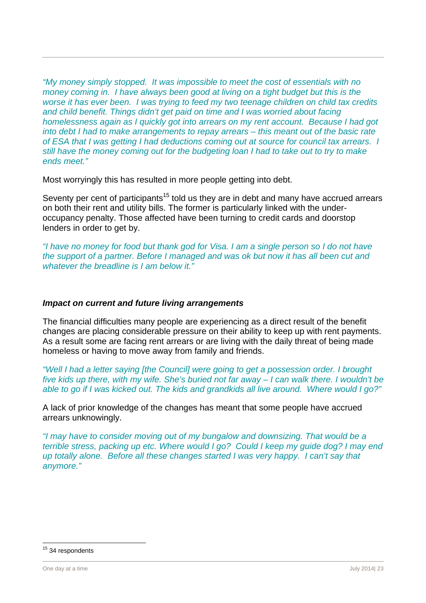*"My money simply stopped. It was impossible to meet the cost of essentials with no money coming in. I have always been good at living on a tight budget but this is the worse it has ever been. I was trying to feed my two teenage children on child tax credits and child benefit. Things didn't get paid on time and I was worried about facing homelessness again as I quickly got into arrears on my rent account. Because I had got into debt I had to make arrangements to repay arrears – this meant out of the basic rate of ESA that I was getting I had deductions coming out at source for council tax arrears. I still have the money coming out for the budgeting loan I had to take out to try to make ends meet."* 

Most worryingly this has resulted in more people getting into debt.

Seventy per cent of participants<sup>15</sup> told us they are in debt and many have accrued arrears on both their rent and utility bills. The former is particularly linked with the underoccupancy penalty. Those affected have been turning to credit cards and doorstop lenders in order to get by.

*"I have no money for food but thank god for Visa. I am a single person so I do not have the support of a partner. Before I managed and was ok but now it has all been cut and whatever the breadline is I am below it."* 

#### *Impact on current and future living arrangements*

The financial difficulties many people are experiencing as a direct result of the benefit changes are placing considerable pressure on their ability to keep up with rent payments. As a result some are facing rent arrears or are living with the daily threat of being made homeless or having to move away from family and friends.

*"Well I had a letter saying [the Council] were going to get a possession order. I brought five kids up there, with my wife. She's buried not far away – I can walk there. I wouldn't be able to go if I was kicked out. The kids and grandkids all live around. Where would I go?"* 

A lack of prior knowledge of the changes has meant that some people have accrued arrears unknowingly.

*"I may have to consider moving out of my bungalow and downsizing. That would be a terrible stress, packing up etc. Where would I go? Could I keep my guide dog? I may end up totally alone. Before all these changes started I was very happy. I can't say that anymore."* 

l <sup>15</sup> 34 respondents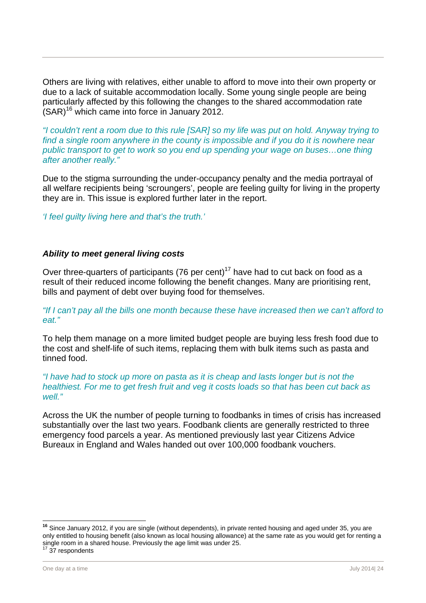Others are living with relatives, either unable to afford to move into their own property or due to a lack of suitable accommodation locally. Some young single people are being particularly affected by this following the changes to the shared accommodation rate  $(SAR)^{16}$  which came into force in January 2012.

*"I couldn't rent a room due to this rule [SAR] so my life was put on hold. Anyway trying to find a single room anywhere in the county is impossible and if you do it is nowhere near public transport to get to work so you end up spending your wage on buses…one thing after another really."* 

Due to the stigma surrounding the under-occupancy penalty and the media portrayal of all welfare recipients being 'scroungers', people are feeling guilty for living in the property they are in. This issue is explored further later in the report.

*'I feel guilty living here and that's the truth.'* 

#### *Ability to meet general living costs*

Over three-quarters of participants (76 per cent)<sup>17</sup> have had to cut back on food as a result of their reduced income following the benefit changes. Many are prioritising rent, bills and payment of debt over buying food for themselves.

*"If I can't pay all the bills one month because these have increased then we can't afford to eat."* 

To help them manage on a more limited budget people are buying less fresh food due to the cost and shelf-life of such items, replacing them with bulk items such as pasta and tinned food.

*"I have had to stock up more on pasta as it is cheap and lasts longer but is not the healthiest. For me to get fresh fruit and veg it costs loads so that has been cut back as well."* 

Across the UK the number of people turning to foodbanks in times of crisis has increased substantially over the last two years. Foodbank clients are generally restricted to three emergency food parcels a year. As mentioned previously last year Citizens Advice Bureaux in England and Wales handed out over 100,000 foodbank vouchers.

**<sup>16</sup>** Since January 2012, if you are single (without dependents), in private rented housing and aged under 35, you are only entitled to housing benefit (also known as local housing allowance) at the same rate as you would get for renting a single room in a shared house. Previously the age limit was under 25.<br><sup>17</sup> 37 respondents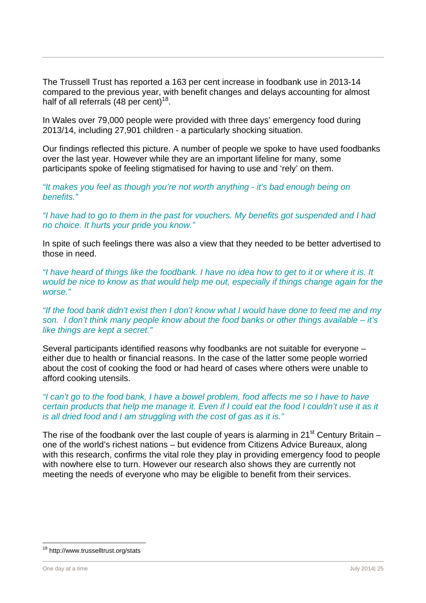The Trussell Trust has reported a 163 per cent increase in foodbank use in 2013-14 compared to the previous year, with benefit changes and delays accounting for almost half of all referrals (48 per cent)<sup>18</sup>.

In Wales over 79,000 people were provided with three days' emergency food during 2013/14, including 27,901 children - a particularly shocking situation.

Our findings reflected this picture. A number of people we spoke to have used foodbanks over the last year. However while they are an important lifeline for many, some participants spoke of feeling stigmatised for having to use and 'rely' on them.

*"It makes you feel as though you're not worth anything - it's bad enough being on benefits."* 

*"I have had to go to them in the past for vouchers. My benefits got suspended and I had no choice. It hurts your pride you know."* 

In spite of such feelings there was also a view that they needed to be better advertised to those in need.

*"I have heard of things like the foodbank. I have no idea how to get to it or where it is. It would be nice to know as that would help me out, especially if things change again for the worse."* 

*"If the food bank didn't exist then I don't know what I would have done to feed me and my son. I don't think many people know about the food banks or other things available – it's like things are kept a secret."* 

Several participants identified reasons why foodbanks are not suitable for everyone – either due to health or financial reasons. In the case of the latter some people worried about the cost of cooking the food or had heard of cases where others were unable to afford cooking utensils.

#### *"I can't go to the food bank, I have a bowel problem, food affects me so I have to have certain products that help me manage it. Even if I could eat the food I couldn't use it as it is all dried food and I am struggling with the cost of gas as it is."*

The rise of the foodbank over the last couple of vears is alarming in 21<sup>st</sup> Century Britain – one of the world's richest nations – but evidence from Citizens Advice Bureaux, along with this research, confirms the vital role they play in providing emergency food to people with nowhere else to turn. However our research also shows they are currently not meeting the needs of everyone who may be eligible to benefit from their services.

<sup>&</sup>lt;sup>18</sup> http://www.trusselltrust.org/stats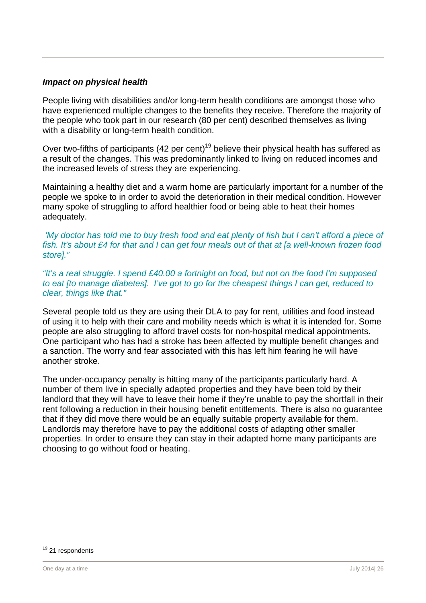#### *Impact on physical health*

People living with disabilities and/or long-term health conditions are amongst those who have experienced multiple changes to the benefits they receive. Therefore the majority of the people who took part in our research (80 per cent) described themselves as living with a disability or long-term health condition.

Over two-fifths of participants (42 per cent)<sup>19</sup> believe their physical health has suffered as a result of the changes. This was predominantly linked to living on reduced incomes and the increased levels of stress they are experiencing.

Maintaining a healthy diet and a warm home are particularly important for a number of the people we spoke to in order to avoid the deterioration in their medical condition. However many spoke of struggling to afford healthier food or being able to heat their homes adequately.

 *'My doctor has told me to buy fresh food and eat plenty of fish but I can't afford a piece of fish. It's about £4 for that and I can get four meals out of that at [a well-known frozen food store]."* 

*"It's a real struggle. I spend £40.00 a fortnight on food, but not on the food I'm supposed to eat [to manage diabetes]. I've got to go for the cheapest things I can get, reduced to clear, things like that."* 

Several people told us they are using their DLA to pay for rent, utilities and food instead of using it to help with their care and mobility needs which is what it is intended for. Some people are also struggling to afford travel costs for non-hospital medical appointments. One participant who has had a stroke has been affected by multiple benefit changes and a sanction. The worry and fear associated with this has left him fearing he will have another stroke.

The under-occupancy penalty is hitting many of the participants particularly hard. A number of them live in specially adapted properties and they have been told by their landlord that they will have to leave their home if they're unable to pay the shortfall in their rent following a reduction in their housing benefit entitlements. There is also no guarantee that if they did move there would be an equally suitable property available for them. Landlords may therefore have to pay the additional costs of adapting other smaller properties. In order to ensure they can stay in their adapted home many participants are choosing to go without food or heating.

<sup>&</sup>lt;sup>19</sup> 21 respondents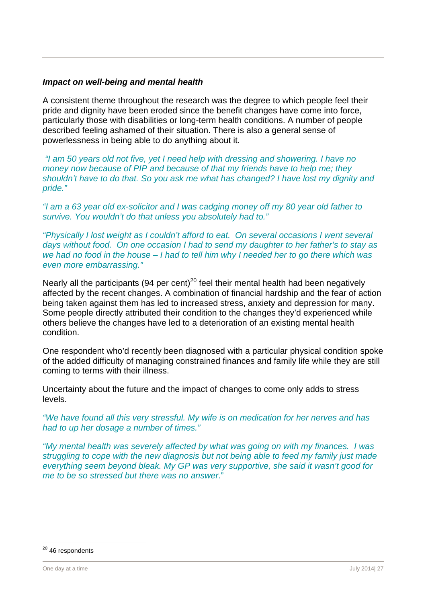#### *Impact on well-being and mental health*

A consistent theme throughout the research was the degree to which people feel their pride and dignity have been eroded since the benefit changes have come into force, particularly those with disabilities or long-term health conditions. A number of people described feeling ashamed of their situation. There is also a general sense of powerlessness in being able to do anything about it.

 *"I am 50 years old not five, yet I need help with dressing and showering. I have no money now because of PIP and because of that my friends have to help me; they shouldn't have to do that. So you ask me what has changed? I have lost my dignity and pride."* 

*"I am a 63 year old ex-solicitor and I was cadging money off my 80 year old father to survive. You wouldn't do that unless you absolutely had to."* 

*"Physically I lost weight as I couldn't afford to eat. On several occasions I went several days without food. On one occasion I had to send my daughter to her father's to stay as we had no food in the house – I had to tell him why I needed her to go there which was even more embarrassing."* 

Nearly all the participants (94 per cent)<sup>20</sup> feel their mental health had been negatively affected by the recent changes. A combination of financial hardship and the fear of action being taken against them has led to increased stress, anxiety and depression for many. Some people directly attributed their condition to the changes they'd experienced while others believe the changes have led to a deterioration of an existing mental health condition.

One respondent who'd recently been diagnosed with a particular physical condition spoke of the added difficulty of managing constrained finances and family life while they are still coming to terms with their illness.

Uncertainty about the future and the impact of changes to come only adds to stress levels.

*"We have found all this very stressful. My wife is on medication for her nerves and has had to up her dosage a number of times."* 

*"My mental health was severely affected by what was going on with my finances. I was struggling to cope with the new diagnosis but not being able to feed my family just made everything seem beyond bleak. My GP was very supportive, she said it wasn't good for me to be so stressed but there was no answer*."

<sup>&</sup>lt;sup>20</sup> 46 respondents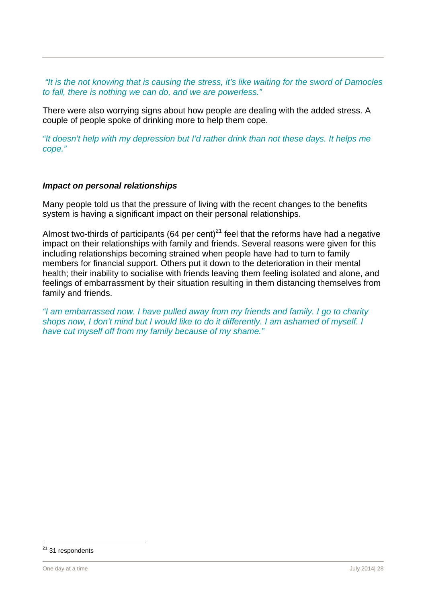*"It is the not knowing that is causing the stress, it's like waiting for the sword of Damocles to fall, there is nothing we can do, and we are powerless."* 

There were also worrying signs about how people are dealing with the added stress. A couple of people spoke of drinking more to help them cope.

*"It doesn't help with my depression but I'd rather drink than not these days. It helps me cope."* 

#### *Impact on personal relationships*

Many people told us that the pressure of living with the recent changes to the benefits system is having a significant impact on their personal relationships.

Almost two-thirds of participants (64 per cent)<sup>21</sup> feel that the reforms have had a negative impact on their relationships with family and friends. Several reasons were given for this including relationships becoming strained when people have had to turn to family members for financial support. Others put it down to the deterioration in their mental health; their inability to socialise with friends leaving them feeling isolated and alone, and feelings of embarrassment by their situation resulting in them distancing themselves from family and friends.

*"I am embarrassed now. I have pulled away from my friends and family. I go to charity shops now, I don't mind but I would like to do it differently. I am ashamed of myself. I have cut myself off from my family because of my shame."* 

<sup>&</sup>lt;sup>21</sup> 31 respondents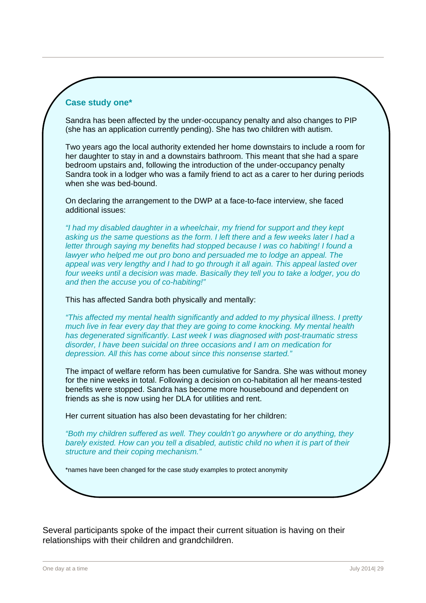#### **Case study one\***

Sandra has been affected by the under-occupancy penalty and also changes to PIP (she has an application currently pending). She has two children with autism.

Two years ago the local authority extended her home downstairs to include a room for her daughter to stay in and a downstairs bathroom. This meant that she had a spare bedroom upstairs and, following the introduction of the under-occupancy penalty Sandra took in a lodger who was a family friend to act as a carer to her during periods when she was bed-bound.

On declaring the arrangement to the DWP at a face-to-face interview, she faced additional issues:

*"I had my disabled daughter in a wheelchair, my friend for support and they kept asking us the same questions as the form. I left there and a few weeks later I had a letter through saying my benefits had stopped because I was co habiting! I found a lawyer who helped me out pro bono and persuaded me to lodge an appeal. The appeal was very lengthy and I had to go through it all again. This appeal lasted over four weeks until a decision was made. Basically they tell you to take a lodger, you do and then the accuse you of co-habiting!"* 

This has affected Sandra both physically and mentally:

*"This affected my mental health significantly and added to my physical illness. I pretty much live in fear every day that they are going to come knocking. My mental health has degenerated significantly. Last week I was diagnosed with post-traumatic stress disorder, I have been suicidal on three occasions and I am on medication for depression. All this has come about since this nonsense started."* 

The impact of welfare reform has been cumulative for Sandra. She was without money for the nine weeks in total. Following a decision on co-habitation all her means-tested benefits were stopped. Sandra has become more housebound and dependent on friends as she is now using her DLA for utilities and rent.

Her current situation has also been devastating for her children:

*"Both my children suffered as well. They couldn't go anywhere or do anything, they barely existed. How can you tell a disabled, autistic child no when it is part of their structure and their coping mechanism."* 

\*names have been changed for the case study examples to protect anonymity

Several participants spoke of the impact their current situation is having on their relationships with their children and grandchildren.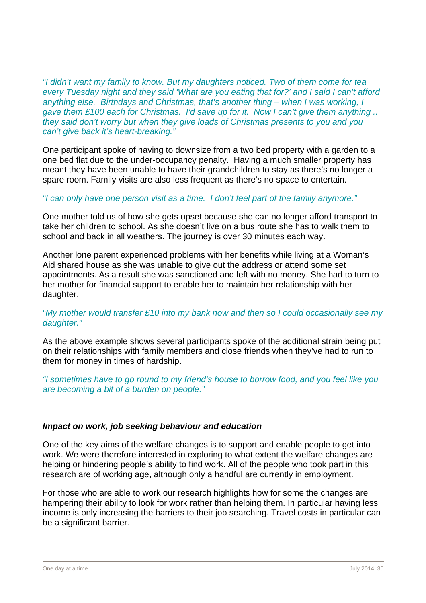*"I didn't want my family to know. But my daughters noticed. Two of them come for tea every Tuesday night and they said 'What are you eating that for?' and I said I can't afford anything else. Birthdays and Christmas, that's another thing – when I was working, I gave them £100 each for Christmas. I'd save up for it. Now I can't give them anything .. they said don't worry but when they give loads of Christmas presents to you and you can't give back it's heart-breaking."* 

One participant spoke of having to downsize from a two bed property with a garden to a one bed flat due to the under-occupancy penalty. Having a much smaller property has meant they have been unable to have their grandchildren to stay as there's no longer a spare room. Family visits are also less frequent as there's no space to entertain.

#### *"I can only have one person visit as a time. I don't feel part of the family anymore."*

One mother told us of how she gets upset because she can no longer afford transport to take her children to school. As she doesn't live on a bus route she has to walk them to school and back in all weathers. The journey is over 30 minutes each way.

Another lone parent experienced problems with her benefits while living at a Woman's Aid shared house as she was unable to give out the address or attend some set appointments. As a result she was sanctioned and left with no money. She had to turn to her mother for financial support to enable her to maintain her relationship with her daughter.

#### *"My mother would transfer £10 into my bank now and then so I could occasionally see my daughter."*

As the above example shows several participants spoke of the additional strain being put on their relationships with family members and close friends when they've had to run to them for money in times of hardship.

*"I sometimes have to go round to my friend's house to borrow food, and you feel like you are becoming a bit of a burden on people."* 

#### *Impact on work, job seeking behaviour and education*

One of the key aims of the welfare changes is to support and enable people to get into work. We were therefore interested in exploring to what extent the welfare changes are helping or hindering people's ability to find work. All of the people who took part in this research are of working age, although only a handful are currently in employment.

For those who are able to work our research highlights how for some the changes are hampering their ability to look for work rather than helping them. In particular having less income is only increasing the barriers to their job searching. Travel costs in particular can be a significant barrier.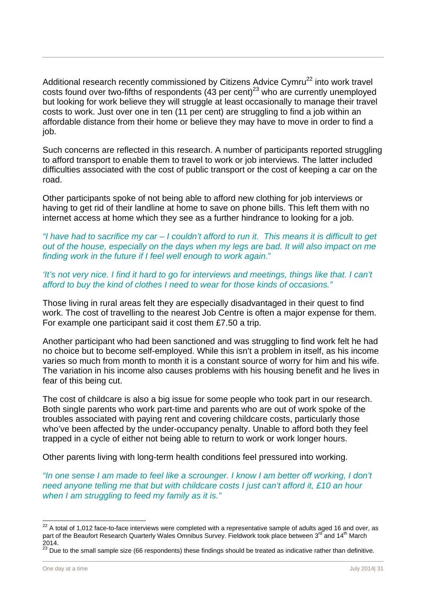Additional research recently commissioned by Citizens Advice Cymru<sup>22</sup> into work travel costs found over two-fifths of respondents (43 per cent)<sup>23</sup> who are currently unemployed but looking for work believe they will struggle at least occasionally to manage their travel costs to work. Just over one in ten (11 per cent) are struggling to find a job within an affordable distance from their home or believe they may have to move in order to find a job.

Such concerns are reflected in this research. A number of participants reported struggling to afford transport to enable them to travel to work or job interviews. The latter included difficulties associated with the cost of public transport or the cost of keeping a car on the road.

Other participants spoke of not being able to afford new clothing for job interviews or having to get rid of their landline at home to save on phone bills. This left them with no internet access at home which they see as a further hindrance to looking for a job.

*"I have had to sacrifice my car – I couldn't afford to run it. This means it is difficult to get out of the house, especially on the days when my legs are bad. It will also impact on me finding work in the future if I feel well enough to work again*."

*'It's not very nice. I find it hard to go for interviews and meetings, things like that. I can't afford to buy the kind of clothes I need to wear for those kinds of occasions."* 

Those living in rural areas felt they are especially disadvantaged in their quest to find work. The cost of travelling to the nearest Job Centre is often a major expense for them. For example one participant said it cost them £7.50 a trip.

Another participant who had been sanctioned and was struggling to find work felt he had no choice but to become self-employed. While this isn't a problem in itself, as his income varies so much from month to month it is a constant source of worry for him and his wife. The variation in his income also causes problems with his housing benefit and he lives in fear of this being cut.

The cost of childcare is also a big issue for some people who took part in our research. Both single parents who work part-time and parents who are out of work spoke of the troubles associated with paying rent and covering childcare costs, particularly those who've been affected by the under-occupancy penalty. Unable to afford both they feel trapped in a cycle of either not being able to return to work or work longer hours.

Other parents living with long-term health conditions feel pressured into working.

*"In one sense I am made to feel like a scrounger. I know I am better off working, I don't need anyone telling me that but with childcare costs I just can't afford it, £10 an hour when I am struggling to feed my family as it is."* 

 $^{22}$  A total of 1,012 face-to-face interviews were completed with a representative sample of adults aged 16 and over, as part of the Beaufort Research Quarterly Wales Omnibus Survey. Fieldwork took place between 3<sup>rd</sup> and 14<sup>th</sup> March 2014.

 $^{23}$  Due to the small sample size (66 respondents) these findings should be treated as indicative rather than definitive.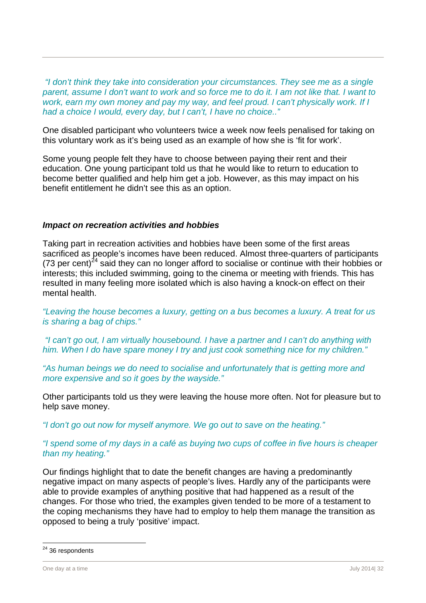*"I don't think they take into consideration your circumstances. They see me as a single parent, assume I don't want to work and so force me to do it. I am not like that. I want to work, earn my own money and pay my way, and feel proud. I can't physically work. If I had a choice I would, every day, but I can't, I have no choice.."* 

One disabled participant who volunteers twice a week now feels penalised for taking on this voluntary work as it's being used as an example of how she is 'fit for work'.

Some young people felt they have to choose between paying their rent and their education. One young participant told us that he would like to return to education to become better qualified and help him get a job. However, as this may impact on his benefit entitlement he didn't see this as an option.

#### *Impact on recreation activities and hobbies*

Taking part in recreation activities and hobbies have been some of the first areas sacrificed as people's incomes have been reduced. Almost three-quarters of participants (73 per cent)<sup>24</sup> said they can no longer afford to socialise or continue with their hobbies or interests; this included swimming, going to the cinema or meeting with friends. This has resulted in many feeling more isolated which is also having a knock-on effect on their mental health.

*"Leaving the house becomes a luxury, getting on a bus becomes a luxury. A treat for us is sharing a bag of chips."* 

 *"I can't go out, I am virtually housebound. I have a partner and I can't do anything with him. When I do have spare money I try and just cook something nice for my children."* 

*"As human beings we do need to socialise and unfortunately that is getting more and more expensive and so it goes by the wayside."* 

Other participants told us they were leaving the house more often. Not for pleasure but to help save money.

*"I don't go out now for myself anymore. We go out to save on the heating."* 

#### *"I spend some of my days in a café as buying two cups of coffee in five hours is cheaper than my heating."*

Our findings highlight that to date the benefit changes are having a predominantly negative impact on many aspects of people's lives. Hardly any of the participants were able to provide examples of anything positive that had happened as a result of the changes. For those who tried, the examples given tended to be more of a testament to the coping mechanisms they have had to employ to help them manage the transition as opposed to being a truly 'positive' impact.

 $24$  36 respondents

One day at a time July 2014| 32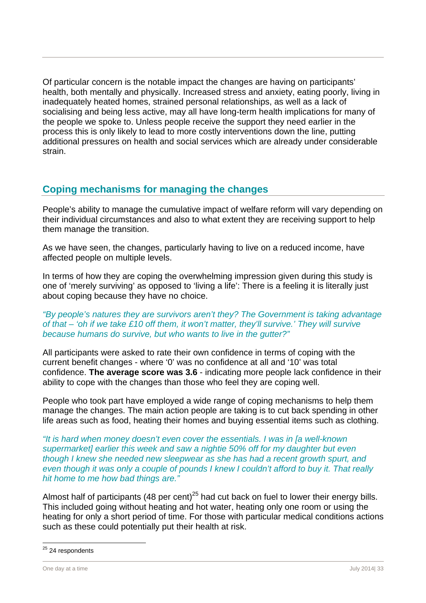Of particular concern is the notable impact the changes are having on participants' health, both mentally and physically. Increased stress and anxiety, eating poorly, living in inadequately heated homes, strained personal relationships, as well as a lack of socialising and being less active, may all have long-term health implications for many of the people we spoke to. Unless people receive the support they need earlier in the process this is only likely to lead to more costly interventions down the line, putting additional pressures on health and social services which are already under considerable strain.

## **Coping mechanisms for managing the changes**

People's ability to manage the cumulative impact of welfare reform will vary depending on their individual circumstances and also to what extent they are receiving support to help them manage the transition.

As we have seen, the changes, particularly having to live on a reduced income, have affected people on multiple levels.

In terms of how they are coping the overwhelming impression given during this study is one of 'merely surviving' as opposed to 'living a life': There is a feeling it is literally just about coping because they have no choice.

#### *"By people's natures they are survivors aren't they? The Government is taking advantage of that – 'oh if we take £10 off them, it won't matter, they'll survive.' They will survive because humans do survive, but who wants to live in the gutter?"*

All participants were asked to rate their own confidence in terms of coping with the current benefit changes - where '0' was no confidence at all and '10' was total confidence. **The average score was 3.6** - indicating more people lack confidence in their ability to cope with the changes than those who feel they are coping well.

People who took part have employed a wide range of coping mechanisms to help them manage the changes. The main action people are taking is to cut back spending in other life areas such as food, heating their homes and buying essential items such as clothing.

*"It is hard when money doesn't even cover the essentials. I was in [a well-known supermarket] earlier this week and saw a nightie 50% off for my daughter but even though I knew she needed new sleepwear as she has had a recent growth spurt, and even though it was only a couple of pounds I knew I couldn't afford to buy it. That really hit home to me how bad things are."* 

Almost half of participants (48 per cent)<sup>25</sup> had cut back on fuel to lower their energy bills. This included going without heating and hot water, heating only one room or using the heating for only a short period of time. For those with particular medical conditions actions such as these could potentially put their health at risk.

l <sup>25</sup> 24 respondents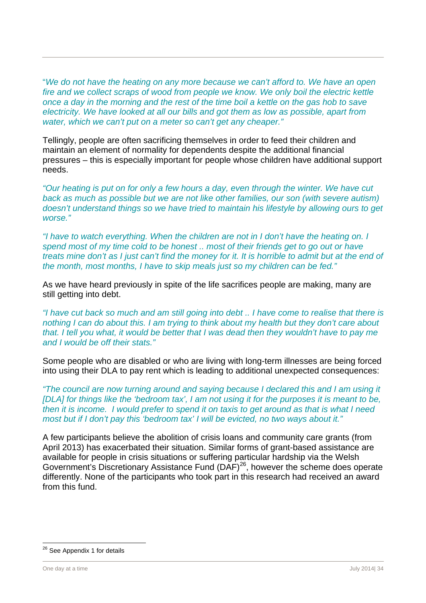"*We do not have the heating on any more because we can't afford to. We have an open fire and we collect scraps of wood from people we know. We only boil the electric kettle once a day in the morning and the rest of the time boil a kettle on the gas hob to save electricity. We have looked at all our bills and got them as low as possible, apart from water, which we can't put on a meter so can't get any cheaper."*

Tellingly, people are often sacrificing themselves in order to feed their children and maintain an element of normality for dependents despite the additional financial pressures – this is especially important for people whose children have additional support needs.

*"Our heating is put on for only a few hours a day, even through the winter. We have cut back as much as possible but we are not like other families, our son (with severe autism) doesn't understand things so we have tried to maintain his lifestyle by allowing ours to get worse."* 

*"I have to watch everything. When the children are not in I don't have the heating on. I spend most of my time cold to be honest .. most of their friends get to go out or have treats mine don't as I just can't find the money for it. It is horrible to admit but at the end of the month, most months, I have to skip meals just so my children can be fed."* 

As we have heard previously in spite of the life sacrifices people are making, many are still getting into debt.

*"I have cut back so much and am still going into debt .. I have come to realise that there is nothing I can do about this. I am trying to think about my health but they don't care about that. I tell you what, it would be better that I was dead then they wouldn't have to pay me and I would be off their stats."* 

Some people who are disabled or who are living with long-term illnesses are being forced into using their DLA to pay rent which is leading to additional unexpected consequences:

*"The council are now turning around and saying because I declared this and I am using it [DLA] for things like the 'bedroom tax', I am not using it for the purposes it is meant to be, then it is income. I would prefer to spend it on taxis to get around as that is what I need most but if I don't pay this 'bedroom tax' I will be evicted, no two ways about it."* 

A few participants believe the abolition of crisis loans and community care grants (from April 2013) has exacerbated their situation. Similar forms of grant-based assistance are available for people in crisis situations or suffering particular hardship via the Welsh Government's Discretionary Assistance Fund (DAF)26, however the scheme does operate differently. None of the participants who took part in this research had received an award from this fund.

<sup>&</sup>lt;sup>26</sup> See Appendix 1 for details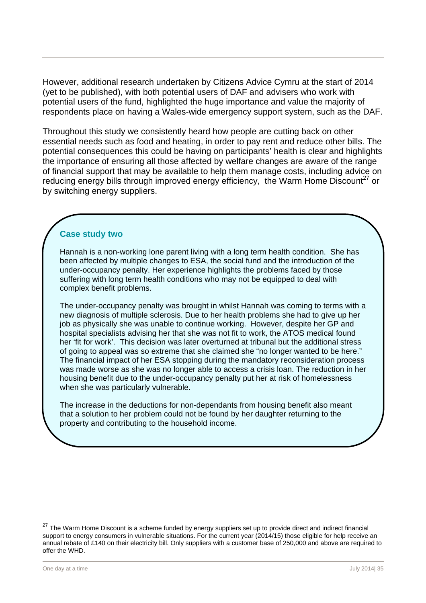However, additional research undertaken by Citizens Advice Cymru at the start of 2014 (yet to be published), with both potential users of DAF and advisers who work with potential users of the fund, highlighted the huge importance and value the majority of respondents place on having a Wales-wide emergency support system, such as the DAF.

Throughout this study we consistently heard how people are cutting back on other essential needs such as food and heating, in order to pay rent and reduce other bills. The potential consequences this could be having on participants' health is clear and highlights the importance of ensuring all those affected by welfare changes are aware of the range of financial support that may be available to help them manage costs, including advice on reducing energy bills through improved energy efficiency, the Warm Home Discount<sup>27</sup> or by switching energy suppliers.

#### **Case study two**

Hannah is a non-working lone parent living with a long term health condition. She has been affected by multiple changes to ESA, the social fund and the introduction of the under-occupancy penalty. Her experience highlights the problems faced by those suffering with long term health conditions who may not be equipped to deal with complex benefit problems.

The under-occupancy penalty was brought in whilst Hannah was coming to terms with a new diagnosis of multiple sclerosis. Due to her health problems she had to give up her job as physically she was unable to continue working. However, despite her GP and hospital specialists advising her that she was not fit to work, the ATOS medical found her 'fit for work'. This decision was later overturned at tribunal but the additional stress of going to appeal was so extreme that she claimed she "no longer wanted to be here." The financial impact of her ESA stopping during the mandatory reconsideration process was made worse as she was no longer able to access a crisis loan. The reduction in her housing benefit due to the under-occupancy penalty put her at risk of homelessness when she was particularly vulnerable.

The increase in the deductions for non-dependants from housing benefit also meant that a solution to her problem could not be found by her daughter returning to the property and contributing to the household income.

<sup>27</sup> The Warm Home Discount is a scheme funded by energy suppliers set up to provide direct and indirect financial support to energy consumers in vulnerable situations. For the current year (2014/15) those eligible for help receive an annual rebate of £140 on their electricity bill. Only suppliers with a customer base of 250,000 and above are required to offer the WHD.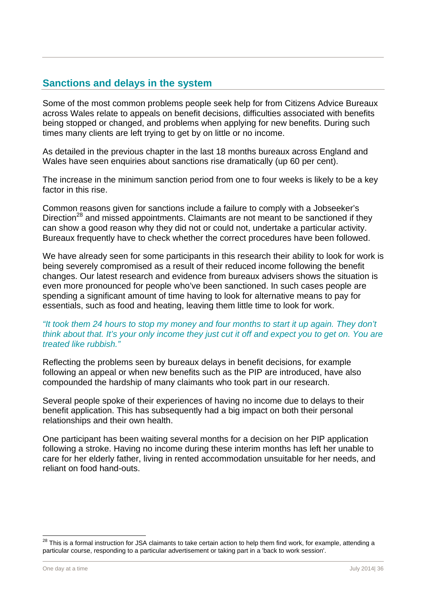## **Sanctions and delays in the system**

Some of the most common problems people seek help for from Citizens Advice Bureaux across Wales relate to appeals on benefit decisions, difficulties associated with benefits being stopped or changed, and problems when applying for new benefits. During such times many clients are left trying to get by on little or no income.

As detailed in the previous chapter in the last 18 months bureaux across England and Wales have seen enquiries about sanctions rise dramatically (up 60 per cent).

The increase in the minimum sanction period from one to four weeks is likely to be a key factor in this rise.

Common reasons given for sanctions include a failure to comply with a Jobseeker's Direction<sup>28</sup> and missed appointments. Claimants are not meant to be sanctioned if they can show a good reason why they did not or could not, undertake a particular activity. Bureaux frequently have to check whether the correct procedures have been followed.

We have already seen for some participants in this research their ability to look for work is being severely compromised as a result of their reduced income following the benefit changes. Our latest research and evidence from bureaux advisers shows the situation is even more pronounced for people who've been sanctioned. In such cases people are spending a significant amount of time having to look for alternative means to pay for essentials, such as food and heating, leaving them little time to look for work.

#### *"It took them 24 hours to stop my money and four months to start it up again. They don't think about that. It's your only income they just cut it off and expect you to get on. You are treated like rubbish."*

Reflecting the problems seen by bureaux delays in benefit decisions, for example following an appeal or when new benefits such as the PIP are introduced, have also compounded the hardship of many claimants who took part in our research.

Several people spoke of their experiences of having no income due to delays to their benefit application. This has subsequently had a big impact on both their personal relationships and their own health.

One participant has been waiting several months for a decision on her PIP application following a stroke. Having no income during these interim months has left her unable to care for her elderly father, living in rented accommodation unsuitable for her needs, and reliant on food hand-outs.

 $\overline{a}$ 

 $^{28}$  This is a formal instruction for JSA claimants to take certain action to help them find work, for example, attending a particular course, responding to a particular advertisement or taking part in a 'back to work session'.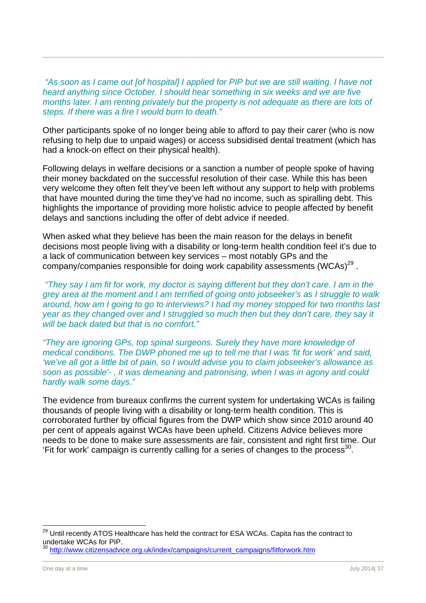*"As soon as I came out [of hospital] I applied for PIP but we are still waiting. I have not heard anything since October. I should hear something in six weeks and we are five months later. I am renting privately but the property is not adequate as there are lots of steps. If there was a fire I would burn to death."* 

Other participants spoke of no longer being able to afford to pay their carer (who is now refusing to help due to unpaid wages) or access subsidised dental treatment (which has had a knock-on effect on their physical health).

Following delays in welfare decisions or a sanction a number of people spoke of having their money backdated on the successful resolution of their case. While this has been very welcome they often felt they've been left without any support to help with problems that have mounted during the time they've had no income, such as spiralling debt. This highlights the importance of providing more holistic advice to people affected by benefit delays and sanctions including the offer of debt advice if needed.

When asked what they believe has been the main reason for the delays in benefit decisions most people living with a disability or long-term health condition feel it's due to a lack of communication between key services – most notably GPs and the company/companies responsible for doing work capability assessments  $(WCAS)^{29}$ .

 *"They say I am fit for work, my doctor is saying different but they don't care. I am in the grey area at the moment and I am terrified of going onto jobseeker's as I struggle to walk around, how am I going to go to interviews? I had my money stopped for two months last year as they changed over and I struggled so much then but they don't care, they say it will be back dated but that is no comfort."* 

*"They are ignoring GPs, top spinal surgeons. Surely they have more knowledge of medical conditions. The DWP phoned me up to tell me that I was 'fit for work' and said, 'we've all got a little bit of pain, so I would advise you to claim jobseeker's allowance as soon as possible'- , it was demeaning and patronising, when I was in agony and could hardly walk some days."* 

The evidence from bureaux confirms the current system for undertaking WCAs is failing thousands of people living with a disability or long-term health condition. This is corroborated further by official figures from the DWP which show since 2010 around 40 per cent of appeals against WCAs have been upheld. Citizens Advice believes more needs to be done to make sure assessments are fair, consistent and right first time. Our 'Fit for work' campaign is currently calling for a series of changes to the process<sup>30</sup>.

 $^{29}$  Until recently ATOS Healthcare has held the contract for ESA WCAs. Capita has the contract to undertake WCAs for PIP.

<sup>&</sup>lt;sup>30</sup> http://www.citizensadvice.org.uk/index/campaigns/current\_campaigns/fitforwork.htm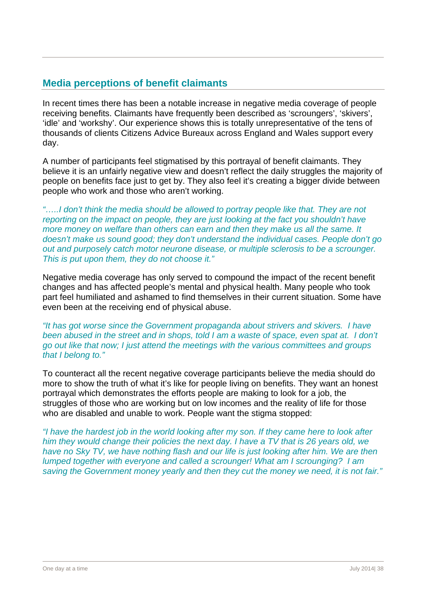## **Media perceptions of benefit claimants**

In recent times there has been a notable increase in negative media coverage of people receiving benefits. Claimants have frequently been described as 'scroungers', 'skivers', 'idle' and 'workshy'. Our experience shows this is totally unrepresentative of the tens of thousands of clients Citizens Advice Bureaux across England and Wales support every day.

A number of participants feel stigmatised by this portrayal of benefit claimants. They believe it is an unfairly negative view and doesn't reflect the daily struggles the majority of people on benefits face just to get by. They also feel it's creating a bigger divide between people who work and those who aren't working.

*"…..I don't think the media should be allowed to portray people like that. They are not reporting on the impact on people, they are just looking at the fact you shouldn't have more money on welfare than others can earn and then they make us all the same. It doesn't make us sound good; they don't understand the individual cases. People don't go out and purposely catch motor neurone disease, or multiple sclerosis to be a scrounger. This is put upon them, they do not choose it."* 

Negative media coverage has only served to compound the impact of the recent benefit changes and has affected people's mental and physical health. Many people who took part feel humiliated and ashamed to find themselves in their current situation. Some have even been at the receiving end of physical abuse.

*"It has got worse since the Government propaganda about strivers and skivers. I have been abused in the street and in shops, told I am a waste of space, even spat at. I don't go out like that now; I just attend the meetings with the various committees and groups that I belong to."* 

To counteract all the recent negative coverage participants believe the media should do more to show the truth of what it's like for people living on benefits. They want an honest portrayal which demonstrates the efforts people are making to look for a job, the struggles of those who are working but on low incomes and the reality of life for those who are disabled and unable to work. People want the stigma stopped:

*"I have the hardest job in the world looking after my son. If they came here to look after him they would change their policies the next day. I have a TV that is 26 years old, we have no Sky TV, we have nothing flash and our life is just looking after him. We are then lumped together with everyone and called a scrounger! What am I scrounging? I am saving the Government money yearly and then they cut the money we need, it is not fair."*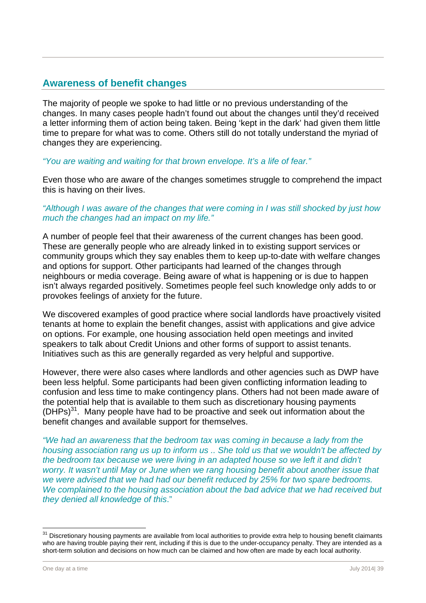## **Awareness of benefit changes**

The majority of people we spoke to had little or no previous understanding of the changes. In many cases people hadn't found out about the changes until they'd received a letter informing them of action being taken. Being 'kept in the dark' had given them little time to prepare for what was to come. Others still do not totally understand the myriad of changes they are experiencing.

#### *"You are waiting and waiting for that brown envelope. It's a life of fear."*

Even those who are aware of the changes sometimes struggle to comprehend the impact this is having on their lives.

#### *"Although I was aware of the changes that were coming in I was still shocked by just how much the changes had an impact on my life."*

A number of people feel that their awareness of the current changes has been good. These are generally people who are already linked in to existing support services or community groups which they say enables them to keep up-to-date with welfare changes and options for support. Other participants had learned of the changes through neighbours or media coverage. Being aware of what is happening or is due to happen isn't always regarded positively. Sometimes people feel such knowledge only adds to or provokes feelings of anxiety for the future.

We discovered examples of good practice where social landlords have proactively visited tenants at home to explain the benefit changes, assist with applications and give advice on options. For example, one housing association held open meetings and invited speakers to talk about Credit Unions and other forms of support to assist tenants. Initiatives such as this are generally regarded as very helpful and supportive.

However, there were also cases where landlords and other agencies such as DWP have been less helpful. Some participants had been given conflicting information leading to confusion and less time to make contingency plans. Others had not been made aware of the potential help that is available to them such as discretionary housing payments  $(DHPs)^{31}$ . Many people have had to be proactive and seek out information about the benefit changes and available support for themselves.

*"We had an awareness that the bedroom tax was coming in because a lady from the housing association rang us up to inform us .. She told us that we wouldn't be affected by the bedroom tax because we were living in an adapted house so we left it and didn't worry. It wasn't until May or June when we rang housing benefit about another issue that we were advised that we had had our benefit reduced by 25% for two spare bedrooms. We complained to the housing association about the bad advice that we had received but they denied all knowledge of this*."

<sup>&</sup>lt;sup>31</sup> Discretionary housing payments are available from local authorities to provide extra help to housing benefit claimants who are having trouble paying their rent, including if this is due to the under-occupancy penalty. They are intended as a short-term solution and decisions on how much can be claimed and how often are made by each local authority.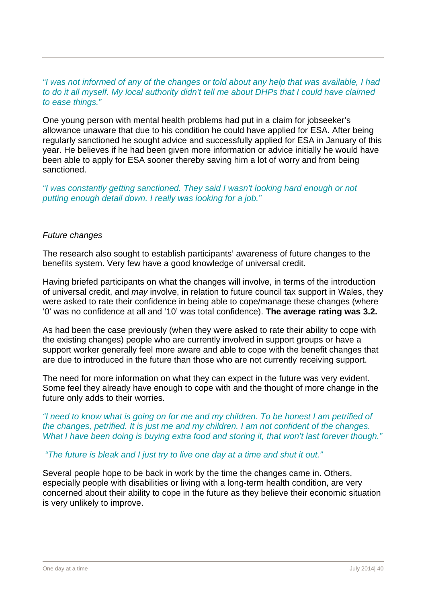#### *"I was not informed of any of the changes or told about any help that was available, I had to do it all myself. My local authority didn't tell me about DHPs that I could have claimed to ease things."*

One young person with mental health problems had put in a claim for jobseeker's allowance unaware that due to his condition he could have applied for ESA. After being regularly sanctioned he sought advice and successfully applied for ESA in January of this year. He believes if he had been given more information or advice initially he would have been able to apply for ESA sooner thereby saving him a lot of worry and from being sanctioned.

*"I was constantly getting sanctioned. They said I wasn't looking hard enough or not putting enough detail down. I really was looking for a job."*

#### *Future changes*

The research also sought to establish participants' awareness of future changes to the benefits system. Very few have a good knowledge of universal credit.

Having briefed participants on what the changes will involve, in terms of the introduction of universal credit, and *may* involve, in relation to future council tax support in Wales, they were asked to rate their confidence in being able to cope/manage these changes (where '0' was no confidence at all and '10' was total confidence). **The average rating was 3.2.**

As had been the case previously (when they were asked to rate their ability to cope with the existing changes) people who are currently involved in support groups or have a support worker generally feel more aware and able to cope with the benefit changes that are due to introduced in the future than those who are not currently receiving support.

The need for more information on what they can expect in the future was very evident. Some feel they already have enough to cope with and the thought of more change in the future only adds to their worries.

*"I need to know what is going on for me and my children. To be honest I am petrified of the changes, petrified. It is just me and my children. I am not confident of the changes. What I have been doing is buying extra food and storing it, that won't last forever though."* 

#### *"The future is bleak and I just try to live one day at a time and shut it out."*

Several people hope to be back in work by the time the changes came in. Others, especially people with disabilities or living with a long-term health condition, are very concerned about their ability to cope in the future as they believe their economic situation is very unlikely to improve.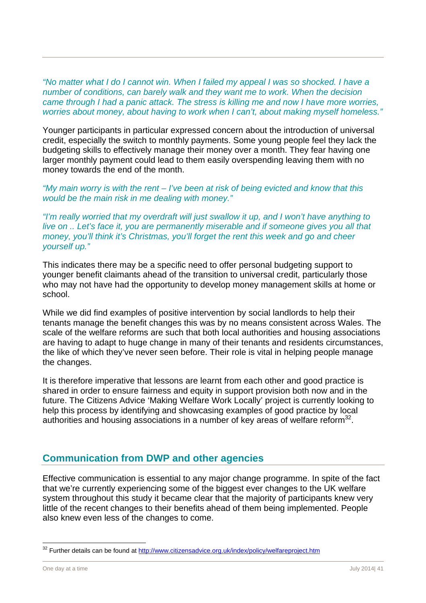*"No matter what I do I cannot win. When I failed my appeal I was so shocked. I have a number of conditions, can barely walk and they want me to work. When the decision came through I had a panic attack. The stress is killing me and now I have more worries, worries about money, about having to work when I can't, about making myself homeless."* 

Younger participants in particular expressed concern about the introduction of universal credit, especially the switch to monthly payments. Some young people feel they lack the budgeting skills to effectively manage their money over a month. They fear having one larger monthly payment could lead to them easily overspending leaving them with no money towards the end of the month.

*"My main worry is with the rent – I've been at risk of being evicted and know that this would be the main risk in me dealing with money."* 

*"I'm really worried that my overdraft will just swallow it up, and I won't have anything to live on .. Let's face it, you are permanently miserable and if someone gives you all that money, you'll think it's Christmas, you'll forget the rent this week and go and cheer yourself up."* 

This indicates there may be a specific need to offer personal budgeting support to younger benefit claimants ahead of the transition to universal credit, particularly those who may not have had the opportunity to develop money management skills at home or school.

While we did find examples of positive intervention by social landlords to help their tenants manage the benefit changes this was by no means consistent across Wales. The scale of the welfare reforms are such that both local authorities and housing associations are having to adapt to huge change in many of their tenants and residents circumstances, the like of which they've never seen before. Their role is vital in helping people manage the changes.

It is therefore imperative that lessons are learnt from each other and good practice is shared in order to ensure fairness and equity in support provision both now and in the future. The Citizens Advice 'Making Welfare Work Locally' project is currently looking to help this process by identifying and showcasing examples of good practice by local authorities and housing associations in a number of key areas of welfare reform<sup>32</sup>.

## **Communication from DWP and other agencies**

Effective communication is essential to any major change programme. In spite of the fact that we're currently experiencing some of the biggest ever changes to the UK welfare system throughout this study it became clear that the majority of participants knew very little of the recent changes to their benefits ahead of them being implemented. People also knew even less of the changes to come.

<sup>&</sup>lt;sup>32</sup> Further details can be found at http://www.citizensadvice.org.uk/index/policy/welfareproject.htm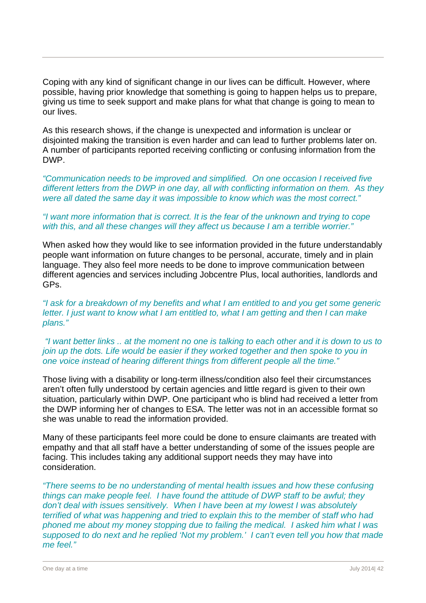Coping with any kind of significant change in our lives can be difficult. However, where possible, having prior knowledge that something is going to happen helps us to prepare, giving us time to seek support and make plans for what that change is going to mean to our lives.

As this research shows, if the change is unexpected and information is unclear or disjointed making the transition is even harder and can lead to further problems later on. A number of participants reported receiving conflicting or confusing information from the DWP.

*"Communication needs to be improved and simplified. On one occasion I received five different letters from the DWP in one day, all with conflicting information on them. As they were all dated the same day it was impossible to know which was the most correct."* 

#### *"I want more information that is correct. It is the fear of the unknown and trying to cope with this, and all these changes will they affect us because I am a terrible worrier."*

When asked how they would like to see information provided in the future understandably people want information on future changes to be personal, accurate, timely and in plain language. They also feel more needs to be done to improve communication between different agencies and services including Jobcentre Plus, local authorities, landlords and GPs.

#### *"I ask for a breakdown of my benefits and what I am entitled to and you get some generic letter. I just want to know what I am entitled to, what I am getting and then I can make plans."*

 *"I want better links .. at the moment no one is talking to each other and it is down to us to join up the dots. Life would be easier if they worked together and then spoke to you in one voice instead of hearing different things from different people all the time."* 

Those living with a disability or long-term illness/condition also feel their circumstances aren't often fully understood by certain agencies and little regard is given to their own situation, particularly within DWP. One participant who is blind had received a letter from the DWP informing her of changes to ESA. The letter was not in an accessible format so she was unable to read the information provided.

Many of these participants feel more could be done to ensure claimants are treated with empathy and that all staff have a better understanding of some of the issues people are facing. This includes taking any additional support needs they may have into consideration.

*"There seems to be no understanding of mental health issues and how these confusing things can make people feel. I have found the attitude of DWP staff to be awful; they don't deal with issues sensitively. When I have been at my lowest I was absolutely terrified of what was happening and tried to explain this to the member of staff who had phoned me about my money stopping due to failing the medical. I asked him what I was supposed to do next and he replied 'Not my problem.' I can't even tell you how that made me feel."*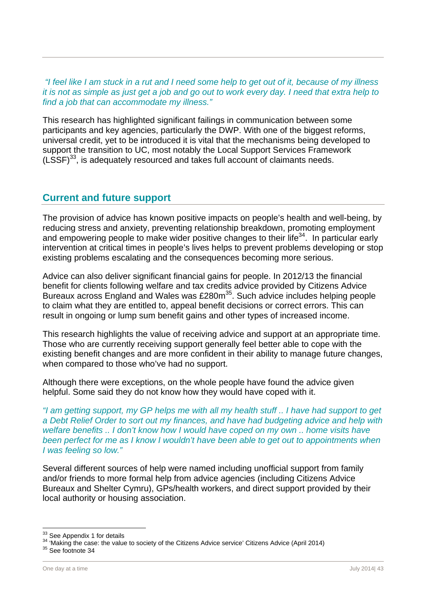*"I feel like I am stuck in a rut and I need some help to get out of it, because of my illness it is not as simple as just get a job and go out to work every day. I need that extra help to find a job that can accommodate my illness."* 

This research has highlighted significant failings in communication between some participants and key agencies, particularly the DWP. With one of the biggest reforms, universal credit, yet to be introduced it is vital that the mechanisms being developed to support the transition to UC, most notably the Local Support Services Framework  $(LSSF)^{33}$ , is adequately resourced and takes full account of claimants needs.

## **Current and future support**

The provision of advice has known positive impacts on people's health and well-being, by reducing stress and anxiety, preventing relationship breakdown, promoting employment and empowering people to make wider positive changes to their life<sup>34</sup>. In particular early intervention at critical times in people's lives helps to prevent problems developing or stop existing problems escalating and the consequences becoming more serious.

Advice can also deliver significant financial gains for people. In 2012/13 the financial benefit for clients following welfare and tax credits advice provided by Citizens Advice Bureaux across England and Wales was £280m<sup>35</sup>. Such advice includes helping people to claim what they are entitled to, appeal benefit decisions or correct errors. This can result in ongoing or lump sum benefit gains and other types of increased income.

This research highlights the value of receiving advice and support at an appropriate time. Those who are currently receiving support generally feel better able to cope with the existing benefit changes and are more confident in their ability to manage future changes, when compared to those who've had no support.

Although there were exceptions, on the whole people have found the advice given helpful. Some said they do not know how they would have coped with it.

*"I am getting support, my GP helps me with all my health stuff .. I have had support to get a Debt Relief Order to sort out my finances, and have had budgeting advice and help with welfare benefits .. I don't know how I would have coped on my own .. home visits have been perfect for me as I know I wouldn't have been able to get out to appointments when I was feeling so low."* 

Several different sources of help were named including unofficial support from family and/or friends to more formal help from advice agencies (including Citizens Advice Bureaux and Shelter Cymru), GPs/health workers, and direct support provided by their local authority or housing association.

<sup>&</sup>lt;sup>33</sup> See Appendix 1 for details

 $34$  'Making the case: the value to society of the Citizens Advice service' Citizens Advice (April 2014)  $35$  See footnote 34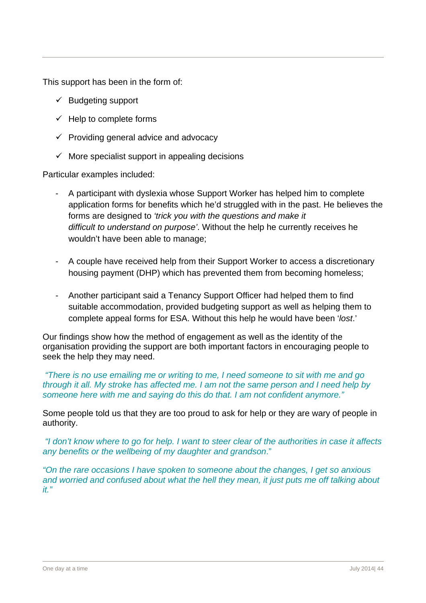This support has been in the form of:

- $\checkmark$  Budgeting support
- $\checkmark$  Help to complete forms
- $\checkmark$  Providing general advice and advocacy
- $\checkmark$  More specialist support in appealing decisions

Particular examples included:

- A participant with dyslexia whose Support Worker has helped him to complete application forms for benefits which he'd struggled with in the past. He believes the forms are designed to *'trick you with the questions and make it difficult to understand on purpose'*. Without the help he currently receives he wouldn't have been able to manage;
- A couple have received help from their Support Worker to access a discretionary housing payment (DHP) which has prevented them from becoming homeless;
- Another participant said a Tenancy Support Officer had helped them to find suitable accommodation, provided budgeting support as well as helping them to complete appeal forms for ESA. Without this help he would have been '*lost*.'

Our findings show how the method of engagement as well as the identity of the organisation providing the support are both important factors in encouraging people to seek the help they may need.

*"There is no use emailing me or writing to me, I need someone to sit with me and go through it all. My stroke has affected me. I am not the same person and I need help by someone here with me and saying do this do that. I am not confident anymore."* 

Some people told us that they are too proud to ask for help or they are wary of people in authority.

*"I don't know where to go for help. I want to steer clear of the authorities in case it affects any benefits or the wellbeing of my daughter and grandson*."

*"On the rare occasions I have spoken to someone about the changes, I get so anxious and worried and confused about what the hell they mean, it just puts me off talking about it."*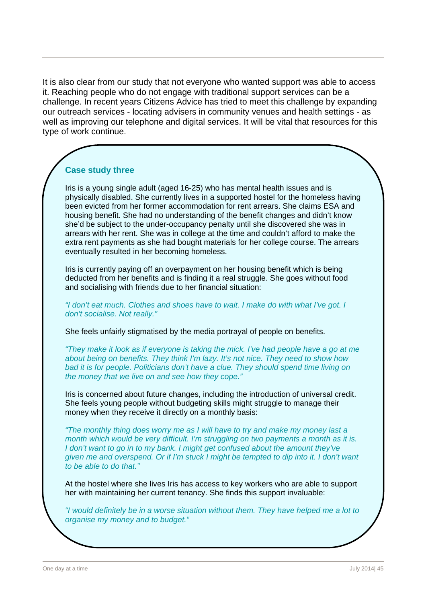It is also clear from our study that not everyone who wanted support was able to access it. Reaching people who do not engage with traditional support services can be a challenge. In recent years Citizens Advice has tried to meet this challenge by expanding our outreach services - locating advisers in community venues and health settings - as well as improving our telephone and digital services. It will be vital that resources for this type of work continue.

## **Case study three**

Iris is a young single adult (aged 16-25) who has mental health issues and is physically disabled. She currently lives in a supported hostel for the homeless having been evicted from her former accommodation for rent arrears. She claims ESA and housing benefit. She had no understanding of the benefit changes and didn't know she'd be subject to the under-occupancy penalty until she discovered she was in arrears with her rent. She was in college at the time and couldn't afford to make the extra rent payments as she had bought materials for her college course. The arrears eventually resulted in her becoming homeless.

Iris is currently paying off an overpayment on her housing benefit which is being deducted from her benefits and is finding it a real struggle. She goes without food and socialising with friends due to her financial situation:

*"I don't eat much. Clothes and shoes have to wait. I make do with what I've got. I don't socialise. Not really."* 

She feels unfairly stigmatised by the media portrayal of people on benefits.

*"They make it look as if everyone is taking the mick. I've had people have a go at me about being on benefits. They think I'm lazy. It's not nice. They need to show how bad it is for people. Politicians don't have a clue. They should spend time living on the money that we live on and see how they cope."* 

Iris is concerned about future changes, including the introduction of universal credit. She feels young people without budgeting skills might struggle to manage their money when they receive it directly on a monthly basis:

*"The monthly thing does worry me as I will have to try and make my money last a month which would be very difficult. I'm struggling on two payments a month as it is. I don't want to go in to my bank. I might get confused about the amount they've given me and overspend. Or if I'm stuck I might be tempted to dip into it. I don't want to be able to do that."* 

At the hostel where she lives Iris has access to key workers who are able to support her with maintaining her current tenancy. She finds this support invaluable:

*"I would definitely be in a worse situation without them. They have helped me a lot to organise my money and to budget."*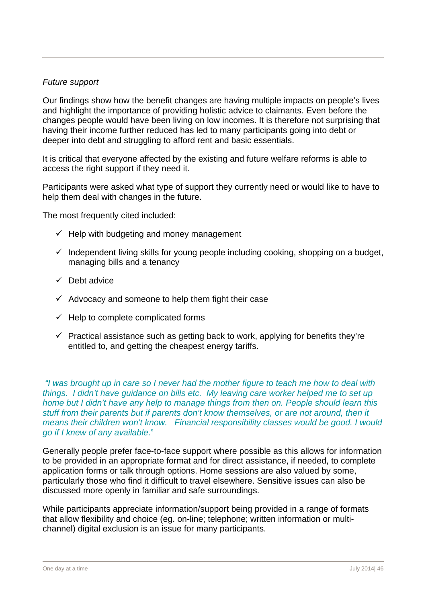#### *Future support*

Our findings show how the benefit changes are having multiple impacts on people's lives and highlight the importance of providing holistic advice to claimants. Even before the changes people would have been living on low incomes. It is therefore not surprising that having their income further reduced has led to many participants going into debt or deeper into debt and struggling to afford rent and basic essentials.

It is critical that everyone affected by the existing and future welfare reforms is able to access the right support if they need it.

Participants were asked what type of support they currently need or would like to have to help them deal with changes in the future.

The most frequently cited included:

- $\checkmark$  Help with budgeting and money management
- $\checkmark$  Independent living skills for young people including cooking, shopping on a budget, managing bills and a tenancy
- $\sqrt{ }$  Debt advice
- $\checkmark$  Advocacy and someone to help them fight their case
- $\checkmark$  Help to complete complicated forms
- $\checkmark$  Practical assistance such as getting back to work, applying for benefits they're entitled to, and getting the cheapest energy tariffs.

 *"I was brought up in care so I never had the mother figure to teach me how to deal with things. I didn't have guidance on bills etc. My leaving care worker helped me to set up home but I didn't have any help to manage things from then on. People should learn this stuff from their parents but if parents don't know themselves, or are not around, then it means their children won't know. Financial responsibility classes would be good. I would go if I knew of any available*."

Generally people prefer face-to-face support where possible as this allows for information to be provided in an appropriate format and for direct assistance, if needed, to complete application forms or talk through options. Home sessions are also valued by some, particularly those who find it difficult to travel elsewhere. Sensitive issues can also be discussed more openly in familiar and safe surroundings.

While participants appreciate information/support being provided in a range of formats that allow flexibility and choice (eg. on-line; telephone; written information or multichannel) digital exclusion is an issue for many participants.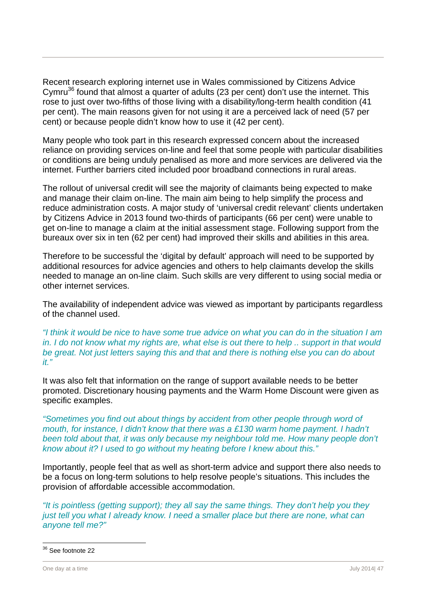Recent research exploring internet use in Wales commissioned by Citizens Advice Cymru<sup>36</sup> found that almost a quarter of adults (23 per cent) don't use the internet. This rose to just over two-fifths of those living with a disability/long-term health condition (41 per cent). The main reasons given for not using it are a perceived lack of need (57 per cent) or because people didn't know how to use it (42 per cent).

Many people who took part in this research expressed concern about the increased reliance on providing services on-line and feel that some people with particular disabilities or conditions are being unduly penalised as more and more services are delivered via the internet. Further barriers cited included poor broadband connections in rural areas.

The rollout of universal credit will see the majority of claimants being expected to make and manage their claim on-line. The main aim being to help simplify the process and reduce administration costs. A major study of 'universal credit relevant' clients undertaken by Citizens Advice in 2013 found two-thirds of participants (66 per cent) were unable to get on-line to manage a claim at the initial assessment stage. Following support from the bureaux over six in ten (62 per cent) had improved their skills and abilities in this area.

Therefore to be successful the 'digital by default' approach will need to be supported by additional resources for advice agencies and others to help claimants develop the skills needed to manage an on-line claim. Such skills are very different to using social media or other internet services.

The availability of independent advice was viewed as important by participants regardless of the channel used.

*"I think it would be nice to have some true advice on what you can do in the situation I am in. I do not know what my rights are, what else is out there to help .. support in that would be great. Not just letters saying this and that and there is nothing else you can do about it."* 

It was also felt that information on the range of support available needs to be better promoted. Discretionary housing payments and the Warm Home Discount were given as specific examples.

*"Sometimes you find out about things by accident from other people through word of mouth, for instance, I didn't know that there was a £130 warm home payment. I hadn't* been told about that, it was only because my neighbour told me. How many people don't *know about it? I used to go without my heating before I knew about this."* 

Importantly, people feel that as well as short-term advice and support there also needs to be a focus on long-term solutions to help resolve people's situations. This includes the provision of affordable accessible accommodation.

*"It is pointless (getting support); they all say the same things. They don't help you they just tell you what I already know. I need a smaller place but there are none, what can anyone tell me?"* 

<sup>&</sup>lt;sup>36</sup> See footnote 22

One day at a time July 2014| 47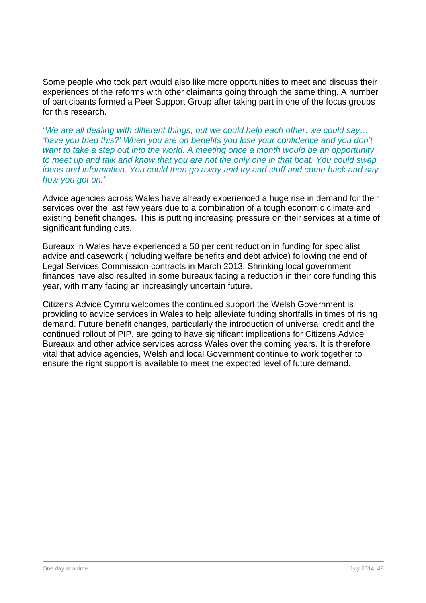Some people who took part would also like more opportunities to meet and discuss their experiences of the reforms with other claimants going through the same thing. A number of participants formed a Peer Support Group after taking part in one of the focus groups for this research.

*"We are all dealing with different things, but we could help each other, we could say… 'have you tried this?' When you are on benefits you lose your confidence and you don't want to take a step out into the world. A meeting once a month would be an opportunity to meet up and talk and know that you are not the only one in that boat. You could swap ideas and information. You could then go away and try and stuff and come back and say how you got on."* 

Advice agencies across Wales have already experienced a huge rise in demand for their services over the last few years due to a combination of a tough economic climate and existing benefit changes. This is putting increasing pressure on their services at a time of significant funding cuts.

Bureaux in Wales have experienced a 50 per cent reduction in funding for specialist advice and casework (including welfare benefits and debt advice) following the end of Legal Services Commission contracts in March 2013. Shrinking local government finances have also resulted in some bureaux facing a reduction in their core funding this year, with many facing an increasingly uncertain future.

Citizens Advice Cymru welcomes the continued support the Welsh Government is providing to advice services in Wales to help alleviate funding shortfalls in times of rising demand. Future benefit changes, particularly the introduction of universal credit and the continued rollout of PIP, are going to have significant implications for Citizens Advice Bureaux and other advice services across Wales over the coming years. It is therefore vital that advice agencies, Welsh and local Government continue to work together to ensure the right support is available to meet the expected level of future demand.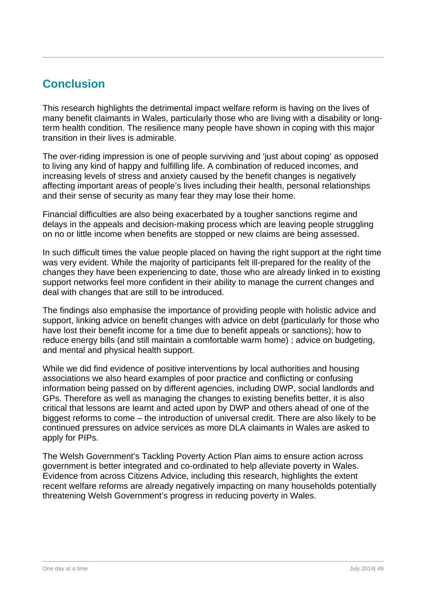# **Conclusion**

This research highlights the detrimental impact welfare reform is having on the lives of many benefit claimants in Wales, particularly those who are living with a disability or longterm health condition. The resilience many people have shown in coping with this major transition in their lives is admirable.

The over-riding impression is one of people surviving and 'just about coping' as opposed to living any kind of happy and fulfilling life. A combination of reduced incomes, and increasing levels of stress and anxiety caused by the benefit changes is negatively affecting important areas of people's lives including their health, personal relationships and their sense of security as many fear they may lose their home.

Financial difficulties are also being exacerbated by a tougher sanctions regime and delays in the appeals and decision-making process which are leaving people struggling on no or little income when benefits are stopped or new claims are being assessed.

In such difficult times the value people placed on having the right support at the right time was very evident. While the majority of participants felt ill-prepared for the reality of the changes they have been experiencing to date, those who are already linked in to existing support networks feel more confident in their ability to manage the current changes and deal with changes that are still to be introduced.

The findings also emphasise the importance of providing people with holistic advice and support, linking advice on benefit changes with advice on debt (particularly for those who have lost their benefit income for a time due to benefit appeals or sanctions); how to reduce energy bills (and still maintain a comfortable warm home) ; advice on budgeting, and mental and physical health support.

While we did find evidence of positive interventions by local authorities and housing associations we also heard examples of poor practice and conflicting or confusing information being passed on by different agencies, including DWP, social landlords and GPs. Therefore as well as managing the changes to existing benefits better, it is also critical that lessons are learnt and acted upon by DWP and others ahead of one of the biggest reforms to come – the introduction of universal credit. There are also likely to be continued pressures on advice services as more DLA claimants in Wales are asked to apply for PIPs.

The Welsh Government's Tackling Poverty Action Plan aims to ensure action across government is better integrated and co-ordinated to help alleviate poverty in Wales. Evidence from across Citizens Advice, including this research, highlights the extent recent welfare reforms are already negatively impacting on many households potentially threatening Welsh Government's progress in reducing poverty in Wales.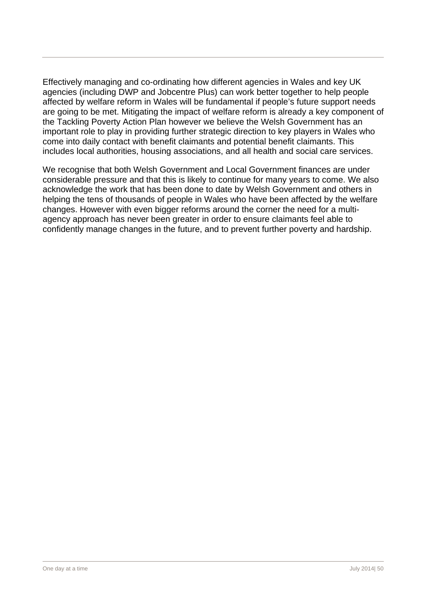Effectively managing and co-ordinating how different agencies in Wales and key UK agencies (including DWP and Jobcentre Plus) can work better together to help people affected by welfare reform in Wales will be fundamental if people's future support needs are going to be met. Mitigating the impact of welfare reform is already a key component of the Tackling Poverty Action Plan however we believe the Welsh Government has an important role to play in providing further strategic direction to key players in Wales who come into daily contact with benefit claimants and potential benefit claimants. This includes local authorities, housing associations, and all health and social care services.

We recognise that both Welsh Government and Local Government finances are under considerable pressure and that this is likely to continue for many years to come. We also acknowledge the work that has been done to date by Welsh Government and others in helping the tens of thousands of people in Wales who have been affected by the welfare changes. However with even bigger reforms around the corner the need for a multiagency approach has never been greater in order to ensure claimants feel able to confidently manage changes in the future, and to prevent further poverty and hardship.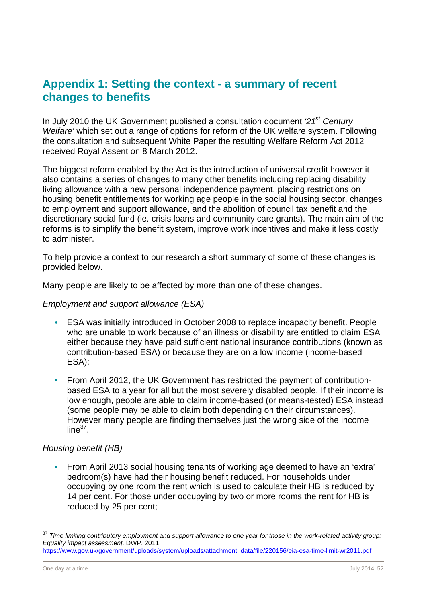## **Appendix 1: Setting the context - a summary of recent changes to benefits**

In July 2010 the UK Government published a consultation document *'21st Century Welfare'* which set out a range of options for reform of the UK welfare system. Following the consultation and subsequent White Paper the resulting Welfare Reform Act 2012 received Royal Assent on 8 March 2012.

The biggest reform enabled by the Act is the introduction of universal credit however it also contains a series of changes to many other benefits including replacing disability living allowance with a new personal independence payment, placing restrictions on housing benefit entitlements for working age people in the social housing sector, changes to employment and support allowance, and the abolition of council tax benefit and the discretionary social fund (ie. crisis loans and community care grants). The main aim of the reforms is to simplify the benefit system, improve work incentives and make it less costly to administer.

To help provide a context to our research a short summary of some of these changes is provided below.

Many people are likely to be affected by more than one of these changes.

#### *Employment and support allowance (ESA)*

- ESA was initially introduced in October 2008 to replace incapacity benefit. People who are unable to work because of an illness or disability are entitled to claim ESA either because they have paid sufficient national insurance contributions (known as contribution-based ESA) or because they are on a low income (income-based ESA);
- From April 2012, the UK Government has restricted the payment of contributionbased ESA to a year for all but the most severely disabled people. If their income is low enough, people are able to claim income-based (or means-tested) ESA instead (some people may be able to claim both depending on their circumstances). However many people are finding themselves just the wrong side of the income  $line<sup>37</sup>$ .

#### *Housing benefit (HB)*

• From April 2013 social housing tenants of working age deemed to have an 'extra' bedroom(s) have had their housing benefit reduced. For households under occupying by one room the rent which is used to calculate their HB is reduced by 14 per cent. For those under occupying by two or more rooms the rent for HB is reduced by 25 per cent;

<sup>&</sup>lt;sup>37</sup> Time limiting contributory employment and support allowance to one year for those in the work-related activity group: *Equality impact assessment,* DWP, 2011.

https://www.gov.uk/government/uploads/system/uploads/attachment\_data/file/220156/eia-esa-time-limit-wr2011.pdf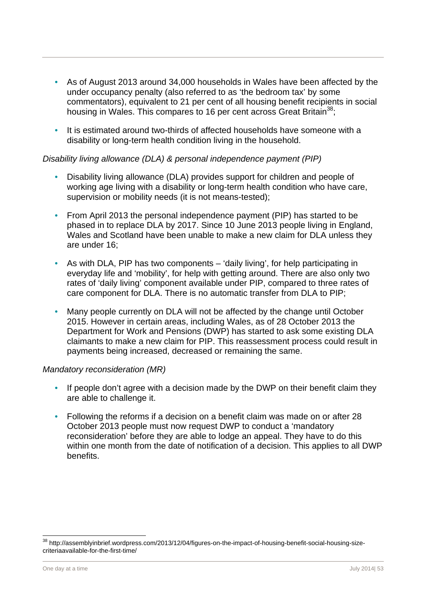- As of August 2013 around 34,000 households in Wales have been affected by the under occupancy penalty (also referred to as 'the bedroom tax' by some commentators), equivalent to 21 per cent of all housing benefit recipients in social housing in Wales. This compares to 16 per cent across Great Britain<sup>38</sup>:
- It is estimated around two-thirds of affected households have someone with a disability or long-term health condition living in the household.

#### *Disability living allowance (DLA) & personal independence payment (PIP)*

- Disability living allowance (DLA) provides support for children and people of working age living with a disability or long-term health condition who have care, supervision or mobility needs (it is not means-tested);
- From April 2013 the personal independence payment (PIP) has started to be phased in to replace DLA by 2017. Since 10 June 2013 people living in England, Wales and Scotland have been unable to make a new claim for DLA unless they are under 16;
- As with DLA, PIP has two components 'daily living', for help participating in everyday life and 'mobility', for help with getting around. There are also only two rates of 'daily living' component available under PIP, compared to three rates of care component for DLA. There is no automatic transfer from DLA to PIP;
- Many people currently on DLA will not be affected by the change until October 2015. However in certain areas, including Wales, as of 28 October 2013 the Department for Work and Pensions (DWP) has started to ask some existing DLA claimants to make a new claim for PIP. This reassessment process could result in payments being increased, decreased or remaining the same.

#### *Mandatory reconsideration (MR)*

- If people don't agree with a decision made by the DWP on their benefit claim they are able to challenge it.
- Following the reforms if a decision on a benefit claim was made on or after 28 October 2013 people must now request DWP to conduct a 'mandatory reconsideration' before they are able to lodge an appeal. They have to do this within one month from the date of notification of a decision. This applies to all DWP benefits.

 $\overline{\phantom{a}}$ 

<sup>&</sup>lt;sup>38</sup> http://assemblyinbrief.wordpress.com/2013/12/04/figures-on-the-impact-of-housing-benefit-social-housing-sizecriteriaavailable-for-the-first-time/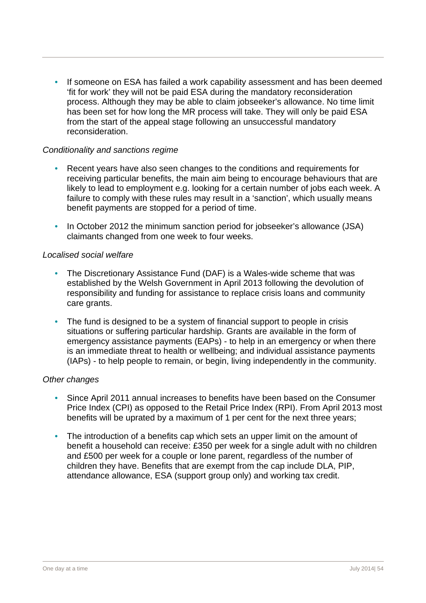If someone on ESA has failed a work capability assessment and has been deemed 'fit for work' they will not be paid ESA during the mandatory reconsideration process. Although they may be able to claim jobseeker's allowance. No time limit has been set for how long the MR process will take. They will only be paid ESA from the start of the appeal stage following an unsuccessful mandatory reconsideration.

#### *Conditionality and sanctions regime*

- Recent years have also seen changes to the conditions and requirements for receiving particular benefits, the main aim being to encourage behaviours that are likely to lead to employment e.g. looking for a certain number of jobs each week. A failure to comply with these rules may result in a 'sanction', which usually means benefit payments are stopped for a period of time.
- In October 2012 the minimum sanction period for jobseeker's allowance (JSA) claimants changed from one week to four weeks.

#### *Localised social welfare*

- The Discretionary Assistance Fund (DAF) is a Wales-wide scheme that was established by the Welsh Government in April 2013 following the devolution of responsibility and funding for assistance to replace crisis loans and community care grants.
- The fund is designed to be a system of financial support to people in crisis situations or suffering particular hardship. Grants are available in the form of emergency assistance payments (EAPs) - to help in an emergency or when there is an immediate threat to health or wellbeing; and individual assistance payments (IAPs) - to help people to remain, or begin, living independently in the community.

#### *Other changes*

- Since April 2011 annual increases to benefits have been based on the Consumer Price Index (CPI) as opposed to the Retail Price Index (RPI). From April 2013 most benefits will be uprated by a maximum of 1 per cent for the next three years;
- The introduction of a benefits cap which sets an upper limit on the amount of benefit a household can receive: £350 per week for a single adult with no children and £500 per week for a couple or lone parent, regardless of the number of children they have. Benefits that are exempt from the cap include DLA, PIP, attendance allowance, ESA (support group only) and working tax credit.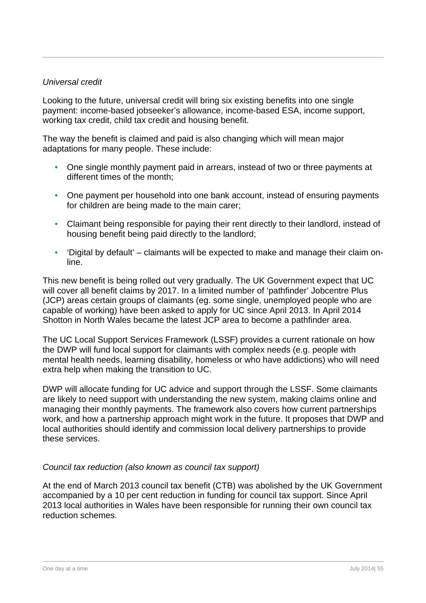#### *Universal credit*

Looking to the future, universal credit will bring six existing benefits into one single payment: income-based jobseeker's allowance, income-based ESA, income support, working tax credit, child tax credit and housing benefit.

The way the benefit is claimed and paid is also changing which will mean major adaptations for many people. These include:

- One single monthly payment paid in arrears, instead of two or three payments at different times of the month;
- One payment per household into one bank account, instead of ensuring payments for children are being made to the main carer;
- Claimant being responsible for paying their rent directly to their landlord, instead of housing benefit being paid directly to the landlord;
- 'Digital by default' claimants will be expected to make and manage their claim online.

This new benefit is being rolled out very gradually. The UK Government expect that UC will cover all benefit claims by 2017. In a limited number of 'pathfinder' Jobcentre Plus (JCP) areas certain groups of claimants (eg. some single, unemployed people who are capable of working) have been asked to apply for UC since April 2013. In April 2014 Shotton in North Wales became the latest JCP area to become a pathfinder area.

The UC Local Support Services Framework (LSSF) provides a current rationale on how the DWP will fund local support for claimants with complex needs (e.g. people with mental health needs, learning disability, homeless or who have addictions) who will need extra help when making the transition to UC.

DWP will allocate funding for UC advice and support through the LSSF. Some claimants are likely to need support with understanding the new system, making claims online and managing their monthly payments. The framework also covers how current partnerships work, and how a partnership approach might work in the future. It proposes that DWP and local authorities should identify and commission local delivery partnerships to provide these services.

#### *Council tax reduction (also known as council tax support)*

At the end of March 2013 council tax benefit (CTB) was abolished by the UK Government accompanied by a 10 per cent reduction in funding for council tax support. Since April 2013 local authorities in Wales have been responsible for running their own council tax reduction schemes.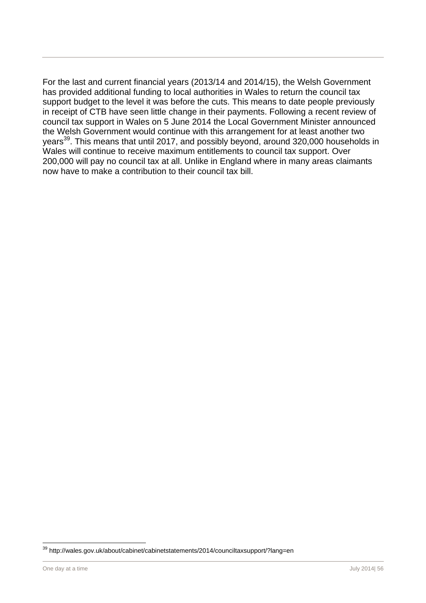For the last and current financial years (2013/14 and 2014/15), the Welsh Government has provided additional funding to local authorities in Wales to return the council tax support budget to the level it was before the cuts. This means to date people previously in receipt of CTB have seen little change in their payments. Following a recent review of council tax support in Wales on 5 June 2014 the Local Government Minister announced the Welsh Government would continue with this arrangement for at least another two years<sup>39</sup>. This means that until 2017, and possibly beyond, around 320,000 households in Wales will continue to receive maximum entitlements to council tax support. Over 200,000 will pay no council tax at all. Unlike in England where in many areas claimants now have to make a contribution to their council tax bill.

<sup>&</sup>lt;sup>39</sup> http://wales.gov.uk/about/cabinet/cabinetstatements/2014/counciltaxsupport/?lang=en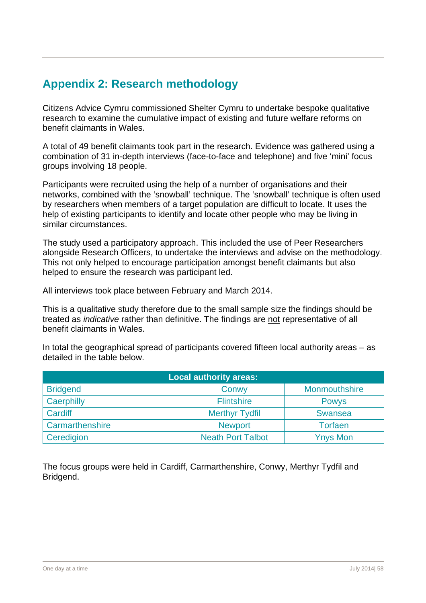# **Appendix 2: Research methodology**

Citizens Advice Cymru commissioned Shelter Cymru to undertake bespoke qualitative research to examine the cumulative impact of existing and future welfare reforms on benefit claimants in Wales.

A total of 49 benefit claimants took part in the research. Evidence was gathered using a combination of 31 in-depth interviews (face-to-face and telephone) and five 'mini' focus groups involving 18 people.

Participants were recruited using the help of a number of organisations and their networks, combined with the 'snowball' technique. The 'snowball' technique is often used by researchers when members of a target population are difficult to locate. It uses the help of existing participants to identify and locate other people who may be living in similar circumstances.

The study used a participatory approach. This included the use of Peer Researchers alongside Research Officers, to undertake the interviews and advise on the methodology. This not only helped to encourage participation amongst benefit claimants but also helped to ensure the research was participant led.

All interviews took place between February and March 2014.

This is a qualitative study therefore due to the small sample size the findings should be treated as *indicative* rather than definitive. The findings are not representative of all benefit claimants in Wales.

In total the geographical spread of participants covered fifteen local authority areas – as detailed in the table below.

| <b>Local authority areas:</b> |                          |                 |  |
|-------------------------------|--------------------------|-----------------|--|
| <b>Bridgend</b>               | Conwy                    | Monmouthshire   |  |
| Caerphilly                    | <b>Flintshire</b>        | <b>Powys</b>    |  |
| Cardiff                       | <b>Merthyr Tydfil</b>    | <b>Swansea</b>  |  |
| Carmarthenshire               | <b>Newport</b>           | <b>Torfaen</b>  |  |
| Ceredigion                    | <b>Neath Port Talbot</b> | <b>Ynys Mon</b> |  |

The focus groups were held in Cardiff, Carmarthenshire, Conwy, Merthyr Tydfil and Bridgend.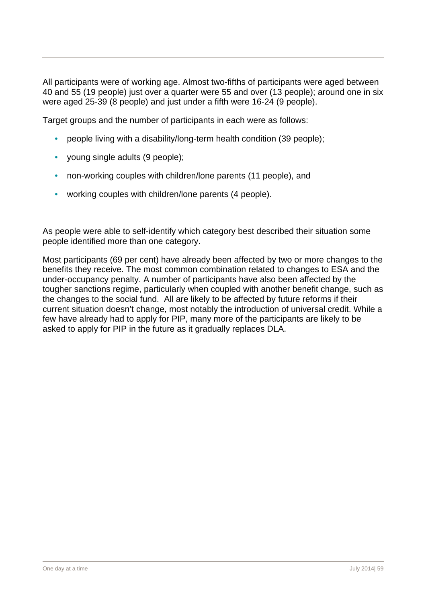All participants were of working age. Almost two-fifths of participants were aged between 40 and 55 (19 people) just over a quarter were 55 and over (13 people); around one in six were aged 25-39 (8 people) and just under a fifth were 16-24 (9 people).

Target groups and the number of participants in each were as follows:

- people living with a disability/long-term health condition (39 people);
- young single adults (9 people);
- non-working couples with children/lone parents (11 people), and
- working couples with children/lone parents (4 people).

As people were able to self-identify which category best described their situation some people identified more than one category.

Most participants (69 per cent) have already been affected by two or more changes to the benefits they receive. The most common combination related to changes to ESA and the under-occupancy penalty. A number of participants have also been affected by the tougher sanctions regime, particularly when coupled with another benefit change, such as the changes to the social fund. All are likely to be affected by future reforms if their current situation doesn't change, most notably the introduction of universal credit. While a few have already had to apply for PIP, many more of the participants are likely to be asked to apply for PIP in the future as it gradually replaces DLA.